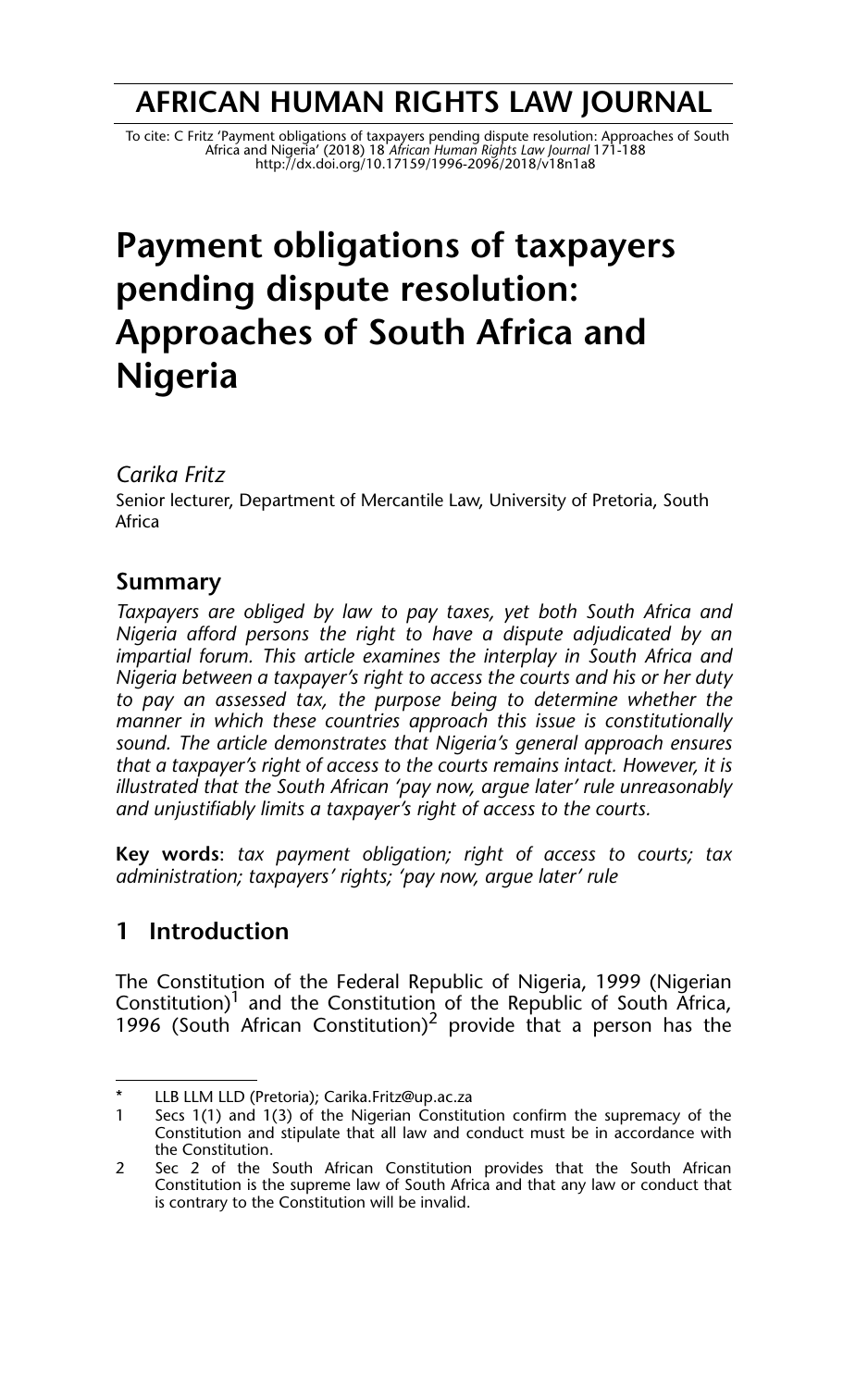## **AFRICAN HUMAN RIGHTS LAW JOURNAL**

To cite: C Fritz 'Payment obligations of taxpayers pending dispute resolution: Approaches of South<br>Africa and Nigeria' (2018) 18 African Human Rights Law Journal 171-188<br>http://dx.doi.org/10.17159/1996-2096/2018/v18n1a8

# **Payment obligations of taxpayers pending dispute resolution: Approaches of South Africa and Nigeria**

#### *Carika Fritz*

Senior lecturer, Department of Mercantile Law, University of Pretoria, South Africa

## **Summary**

*Taxpayers are obliged by law to pay taxes, yet both South Africa and Nigeria afford persons the right to have a dispute adjudicated by an impartial forum. This article examines the interplay in South Africa and Nigeria between a taxpayer's right to access the courts and his or her duty to pay an assessed tax, the purpose being to determine whether the manner in which these countries approach this issue is constitutionally sound. The article demonstrates that Nigeria's general approach ensures that a taxpayer's right of access to the courts remains intact. However, it is illustrated that the South African 'pay now, argue later' rule unreasonably and unjustifiably limits a taxpayer's right of access to the courts.*

**Key words**: *tax payment obligation; right of access to courts; tax administration; taxpayers' rights; 'pay now, argue later' rule*

## **1 Introduction**

The Constitution of the Federal Republic of Nigeria, 1999 (Nigerian Constitution)<sup>1</sup> and the Constitution of the Republic of South Africa, 1996 (South African Constitution)<sup>2</sup> provide that a person has the

<sup>\*</sup> LLB LLM LLD (Pretoria); Carika.Fritz@up.ac.za<br>1 Secs 1(1) and 1(3) of the Nigerian Constitu \*

Secs 1(1) and 1(3) of the Nigerian Constitution confirm the supremacy of the Constitution and stipulate that all law and conduct must be in accordance with the Constitution.

<sup>2</sup> Sec 2 of the South African Constitution provides that the South African Constitution is the supreme law of South Africa and that any law or conduct that is contrary to the Constitution will be invalid.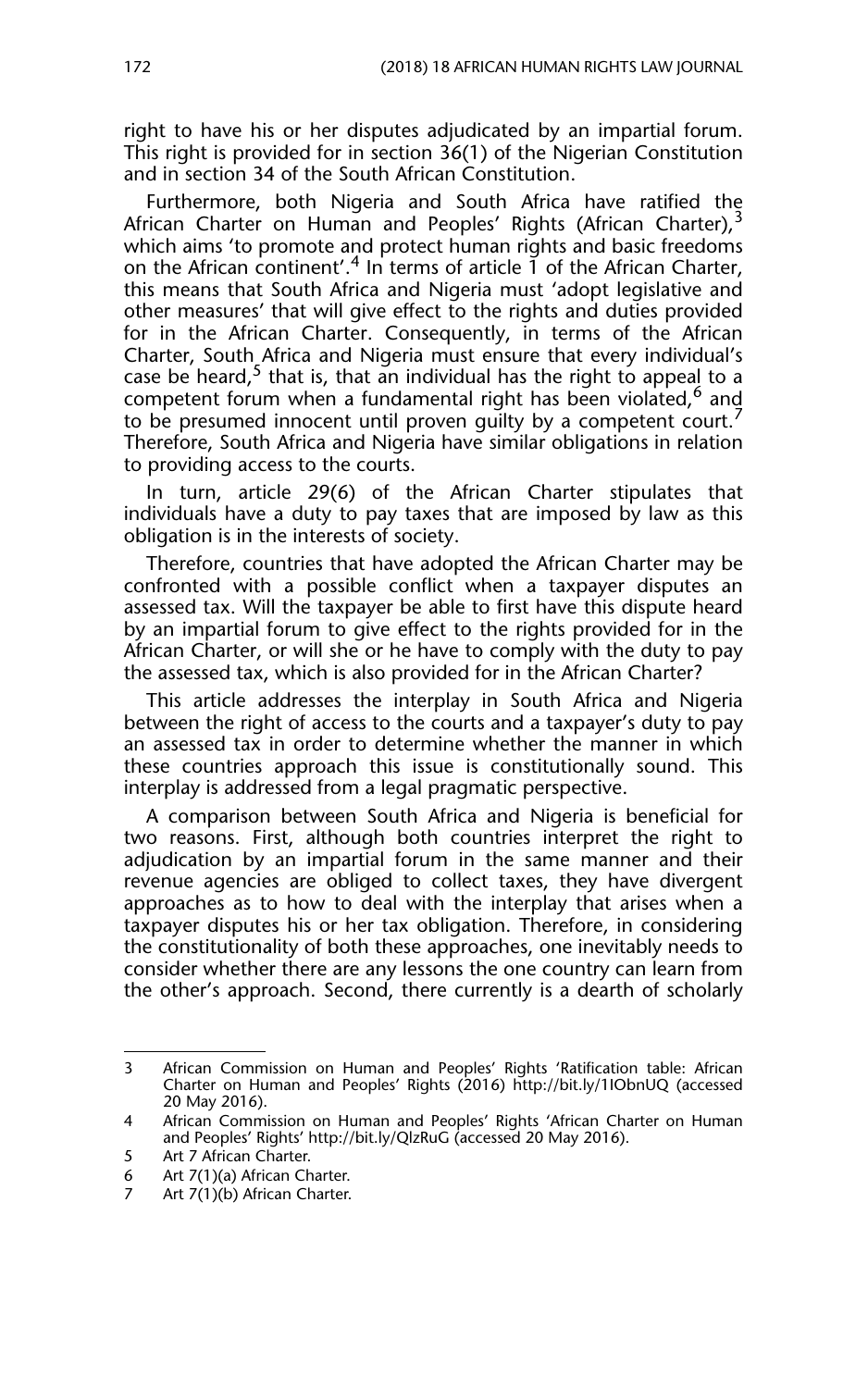right to have his or her disputes adjudicated by an impartial forum. This right is provided for in section 36(1) of the Nigerian Constitution and in section 34 of the South African Constitution.

Furthermore, both Nigeria and South Africa have ratified the African Charter on Human and Peoples' Rights (African Charter),<sup>3</sup> which aims 'to promote and protect human rights and basic freedoms on the African continent'.<sup>4</sup> In terms of article 1 of the African Charter, this means that South Africa and Nigeria must 'adopt legislative and other measures' that will give effect to the rights and duties provided for in the African Charter. Consequently, in terms of the African Charter, South Africa and Nigeria must ensure that every individual's case be heard,<sup>5</sup> that is, that an individual has the right to appeal to a competent forum when a fundamental right has been violated,<sup>6</sup> and to be presumed innocent until proven guilty by a competent court.<sup>7</sup> Therefore, South Africa and Nigeria have similar obligations in relation to providing access to the courts.

In turn, article 29(6) of the African Charter stipulates that individuals have a duty to pay taxes that are imposed by law as this obligation is in the interests of society.

Therefore, countries that have adopted the African Charter may be confronted with a possible conflict when a taxpayer disputes an assessed tax. Will the taxpayer be able to first have this dispute heard by an impartial forum to give effect to the rights provided for in the African Charter, or will she or he have to comply with the duty to pay the assessed tax, which is also provided for in the African Charter?

This article addresses the interplay in South Africa and Nigeria between the right of access to the courts and a taxpayer's duty to pay an assessed tax in order to determine whether the manner in which these countries approach this issue is constitutionally sound. This interplay is addressed from a legal pragmatic perspective.

A comparison between South Africa and Nigeria is beneficial for two reasons. First, although both countries interpret the right to adjudication by an impartial forum in the same manner and their revenue agencies are obliged to collect taxes, they have divergent approaches as to how to deal with the interplay that arises when a taxpayer disputes his or her tax obligation. Therefore, in considering the constitutionality of both these approaches, one inevitably needs to consider whether there are any lessons the one country can learn from the other's approach. Second, there currently is a dearth of scholarly

<sup>3</sup> African Commission on Human and Peoples' Rights 'Ratification table: African Charter on Human and Peoples' Rights (2016) http://bit.ly/1IObnUQ (accessed 20 May 2016).

<sup>4</sup> African Commission on Human and Peoples' Rights 'African Charter on Human and Peoples' Rights' http://bit.ly/QlzRuG (accessed 20 May 2016).

<sup>5</sup> Art 7 African Charter.

<sup>6</sup> Art 7(1)(a) African Charter.

<sup>7</sup> Art 7(1)(b) African Charter.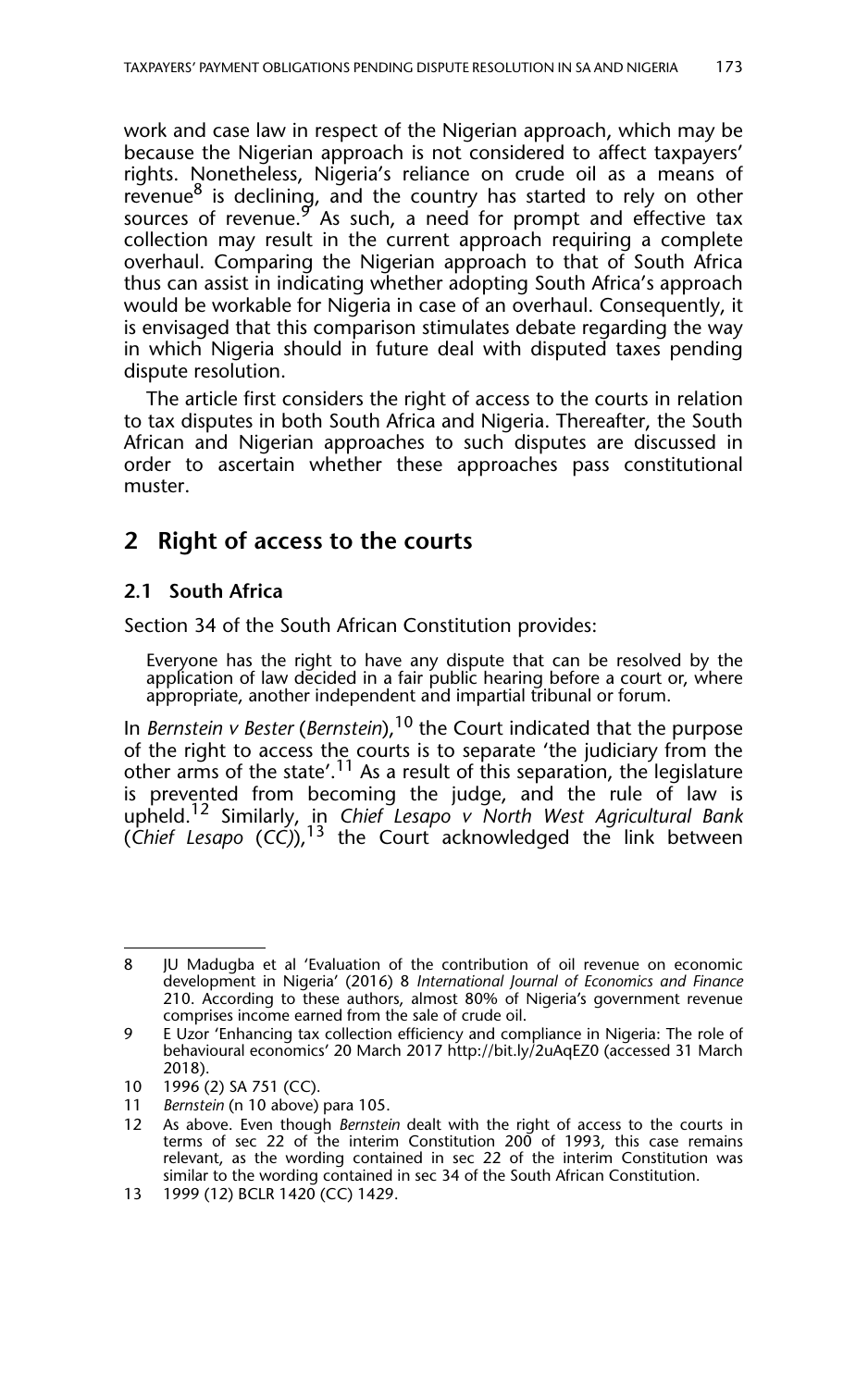work and case law in respect of the Nigerian approach, which may be because the Nigerian approach is not considered to affect taxpayers' rights. Nonetheless, Nigeria's reliance on crude oil as a means of revenue $8$  is declining, and the country has started to rely on other sources of revenue. $9''$  As such, a need for prompt and effective tax collection may result in the current approach requiring a complete overhaul. Comparing the Nigerian approach to that of South Africa thus can assist in indicating whether adopting South Africa's approach would be workable for Nigeria in case of an overhaul. Consequently, it is envisaged that this comparison stimulates debate regarding the way in which Nigeria should in future deal with disputed taxes pending dispute resolution.

The article first considers the right of access to the courts in relation to tax disputes in both South Africa and Nigeria. Thereafter, the South African and Nigerian approaches to such disputes are discussed in order to ascertain whether these approaches pass constitutional muster.

## **2 Right of access to the courts**

## **2.1 South Africa**

Section 34 of the South African Constitution provides:

Everyone has the right to have any dispute that can be resolved by the application of law decided in a fair public hearing before a court or, where appropriate, another independent and impartial tribunal or forum.

In *Bernstein v Bester (Bernstein)*,<sup>10</sup> the Court indicated that the purpose of the right to access the courts is to separate 'the judiciary from the other arms of the state'.<sup>11</sup> As a result of this separation, the legislature is prevented from becoming the judge, and the rule of law is upheld.12 Similarly, in *Chief Lesapo v North West Agricultural Bank* (*Chief Lesapo* (*CC)*),13 the Court acknowledged the link between

<sup>8</sup> JU Madugba et al 'Evaluation of the contribution of oil revenue on economic development in Nigeria' (2016) 8 *International Journal of Economics and Finance* 210. According to these authors, almost 80% of Nigeria's government revenue comprises income earned from the sale of crude oil.

<sup>9</sup> E Uzor 'Enhancing tax collection efficiency and compliance in Nigeria: The role of behavioural economics' 20 March 2017 http://bit.ly/2uAqEZ0 (accessed 31 March 2018).

<sup>10 1996 (2)</sup> SA 751 (CC).

<sup>11</sup> *Bernstein* (n 10 above) para 105.

<sup>12</sup> As above. Even though *Bernstein* dealt with the right of access to the courts in terms of sec 22 of the interim Constitution 200 of 1993, this case remains relevant, as the wording contained in sec 22 of the interim Constitution was similar to the wording contained in sec 34 of the South African Constitution.

<sup>13 1999 (12)</sup> BCLR 1420 (CC) 1429.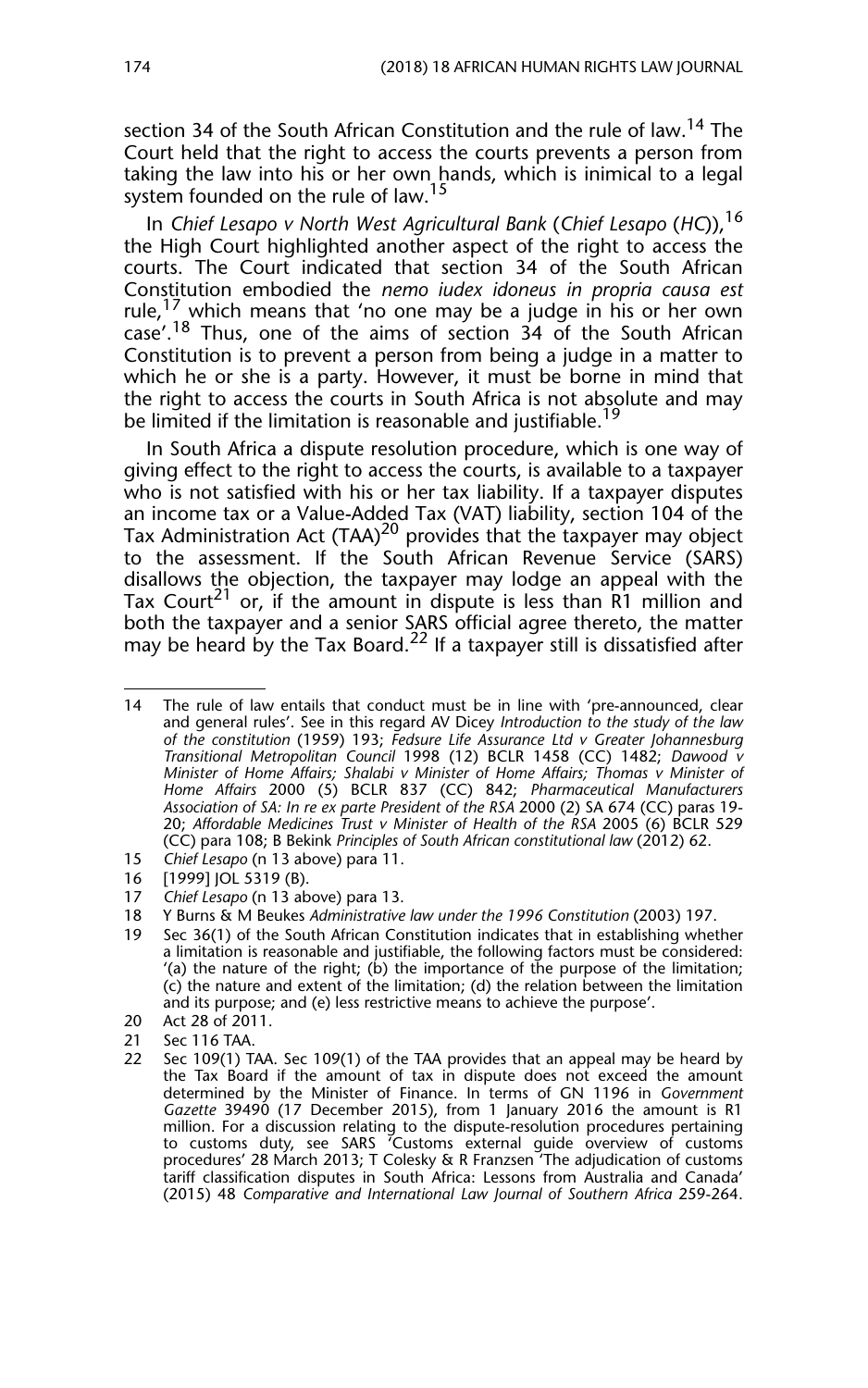section 34 of the South African Constitution and the rule of law.<sup>14</sup> The Court held that the right to access the courts prevents a person from taking the law into his or her own hands, which is inimical to a legal system founded on the rule of law.<sup>15</sup>

In *Chief Lesapo v North West Agricultural Bank* (*Chief Lesapo* (*HC*)),<sup>16</sup> the High Court highlighted another aspect of the right to access the courts. The Court indicated that section 34 of the South African Constitution embodied the *nemo iudex idoneus in propria causa est* rule,<sup>17</sup> which means that 'no one may be a judge in his or her own  $\frac{18}{18}$  Thus, one of the aims of section 34 of the South African Constitution is to prevent a person from being a judge in a matter to which he or she is a party. However, it must be borne in mind that the right to access the courts in South Africa is not absolute and may be limited if the limitation is reasonable and justifiable.<sup>19</sup>

In South Africa a dispute resolution procedure, which is one way of giving effect to the right to access the courts, is available to a taxpayer who is not satisfied with his or her tax liability. If a taxpayer disputes an income tax or a Value-Added Tax (VAT) liability, section 104 of the Tax Administration Act  $(TAA)^{20}$  provides that the taxpayer may object to the assessment. If the South African Revenue Service (SARS) disallows the objection, the taxpayer may lodge an appeal with the Tax Court<sup>21</sup> or, if the amount in dispute is less than  $\overline{R1}$  million and both the taxpayer and a senior SARS official agree thereto, the matter may be heard by the Tax Board.<sup>22</sup> If a taxpayer still is dissatisfied after

- 15 *Chief Lesapo* (n 13 above) para 11.
- 16 [1999] JOL 5319 (B).
- 17 *Chief Lesapo* (n 13 above) para 13.
- 18 Y Burns & M Beukes *Administrative law under the 1996 Constitution* (2003) 197.
- 19 Sec 36(1) of the South African Constitution indicates that in establishing whether a limitation is reasonable and justifiable, the following factors must be considered: '(a) the nature of the right; (b) the importance of the purpose of the limitation; (c) the nature and extent of the limitation; (d) the relation between the limitation and its purpose; and (e) less restrictive means to achieve the purpose'.
- 20 Act 28 of 2011.
- 21 Sec 116 TAA.
- 22 Sec 109(1) TAA. Sec 109(1) of the TAA provides that an appeal may be heard by the Tax Board if the amount of tax in dispute does not exceed the amount determined by the Minister of Finance. In terms of GN 1196 in *Government Gazette* 39490 (17 December 2015), from 1 January 2016 the amount is R1 million. For a discussion relating to the dispute-resolution procedures pertaining to customs duty, see SARS 'Customs external guide overview of customs procedures' 28 March 2013; T Colesky & R Franzsen 'The adjudication of customs tariff classification disputes in South Africa: Lessons from Australia and Canada' (2015) 48 *Comparative and International Law Journal of Southern Africa* 259-264.

<sup>14</sup> The rule of law entails that conduct must be in line with 'pre-announced, clear and general rules'. See in this regard AV Dicey *Introduction to the study of the law of the constitution* (1959) 193; *Fedsure Life Assurance Ltd v Greater Johannesburg Transitional Metropolitan Council* 1998 (12) BCLR 1458 (CC) 1482; *Dawood v Minister of Home Affairs; Shalabi v Minister of Home Affairs; Thomas v Minister of Home Affairs* 2000 (5) BCLR 837 (CC) 842; *Pharmaceutical Manufacturers Association of SA: In re ex parte President of the RSA* 2000 (2) SA 674 (CC) paras 19- 20; *Affordable Medicines Trust v Minister of Health of the RSA* 2005 (6) BCLR 529 (CC) para 108; B Bekink *Principles of South African constitutional law* (2012) 62.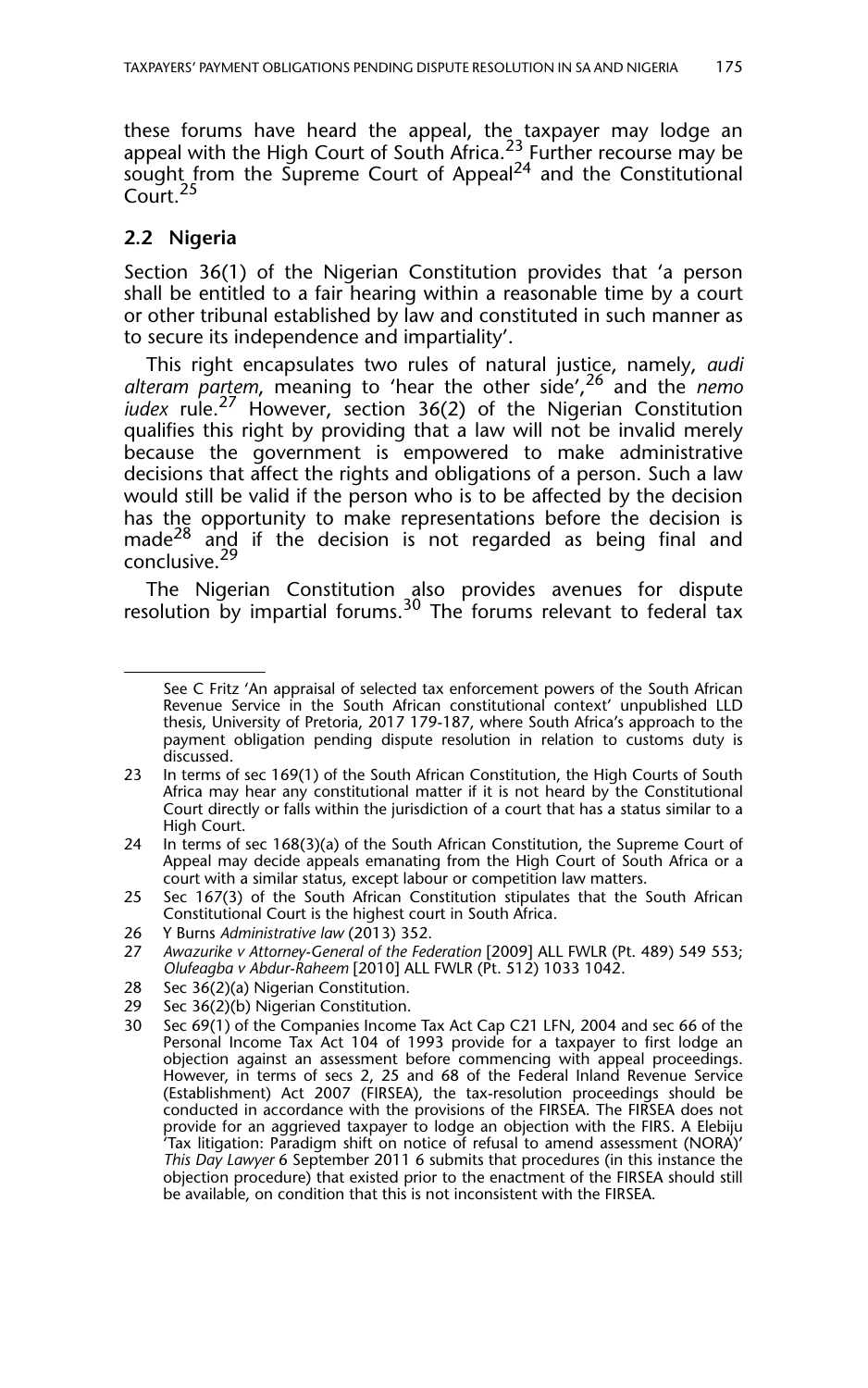these forums have heard the appeal, the taxpayer may lodge an appeal with the High Court of South Africa.<sup>23</sup> Further recourse may be sought from the Supreme Court of Appeal<sup>24</sup> and the Constitutional Court.<sup>25</sup>

## **2.2 Nigeria**

Section 36(1) of the Nigerian Constitution provides that 'a person shall be entitled to a fair hearing within a reasonable time by a court or other tribunal established by law and constituted in such manner as to secure its independence and impartiality'.

This right encapsulates two rules of natural justice, namely, *audi alteram partem*, meaning to 'hear the other side',26 and the *nemo iudex* rule.27 However, section 36(2) of the Nigerian Constitution qualifies this right by providing that a law will not be invalid merely because the government is empowered to make administrative decisions that affect the rights and obligations of a person. Such a law would still be valid if the person who is to be affected by the decision has the opportunity to make representations before the decision is made<sup>28</sup> and if the decision is not regarded as being final and conclusive.<sup>29</sup>

The Nigerian Constitution also provides avenues for dispute resolution by impartial forums.<sup>30</sup> The forums relevant to federal tax

26 Y Burns *Administrative law* (2013) 352.

- 28 Sec 36(2)(a) Nigerian Constitution.
- 29 Sec 36(2)(b) Nigerian Constitution.<br>30 Sec 69(1) of the Companies Income

See C Fritz 'An appraisal of selected tax enforcement powers of the South African Revenue Service in the South African constitutional context' unpublished LLD thesis, University of Pretoria, 2017 179-187, where South Africa's approach to the payment obligation pending dispute resolution in relation to customs duty is discussed.

<sup>23</sup> In terms of sec 169(1) of the South African Constitution, the High Courts of South Africa may hear any constitutional matter if it is not heard by the Constitutional Court directly or falls within the jurisdiction of a court that has a status similar to a High Court.

<sup>24</sup> In terms of sec 168(3)(a) of the South African Constitution, the Supreme Court of Appeal may decide appeals emanating from the High Court of South Africa or a court with a similar status, except labour or competition law matters.

<sup>25</sup> Sec 167(3) of the South African Constitution stipulates that the South African Constitutional Court is the highest court in South Africa.

<sup>27</sup> *Awazurike v Attorney-General of the Federation* [2009] ALL FWLR (Pt. 489) 549 553; *Olufeagba v Abdur-Raheem* [2010] ALL FWLR (Pt. 512) 1033 1042.

Sec 69(1) of the Companies Income Tax Act Cap C21 LFN, 2004 and sec 66 of the Personal Income Tax Act 104 of 1993 provide for a taxpayer to first lodge an objection against an assessment before commencing with appeal proceedings. However, in terms of secs 2, 25 and 68 of the Federal Inland Revenue Service (Establishment) Act 2007 (FIRSEA), the tax-resolution proceedings should be conducted in accordance with the provisions of the FIRSEA. The FIRSEA does not provide for an aggrieved taxpayer to lodge an objection with the FIRS. A Elebiju 'Tax litigation: Paradigm shift on notice of refusal to amend assessment (NORA)' *This Day Lawyer* 6 September 2011 6 submits that procedures (in this instance the objection procedure) that existed prior to the enactment of the FIRSEA should still be available, on condition that this is not inconsistent with the FIRSEA.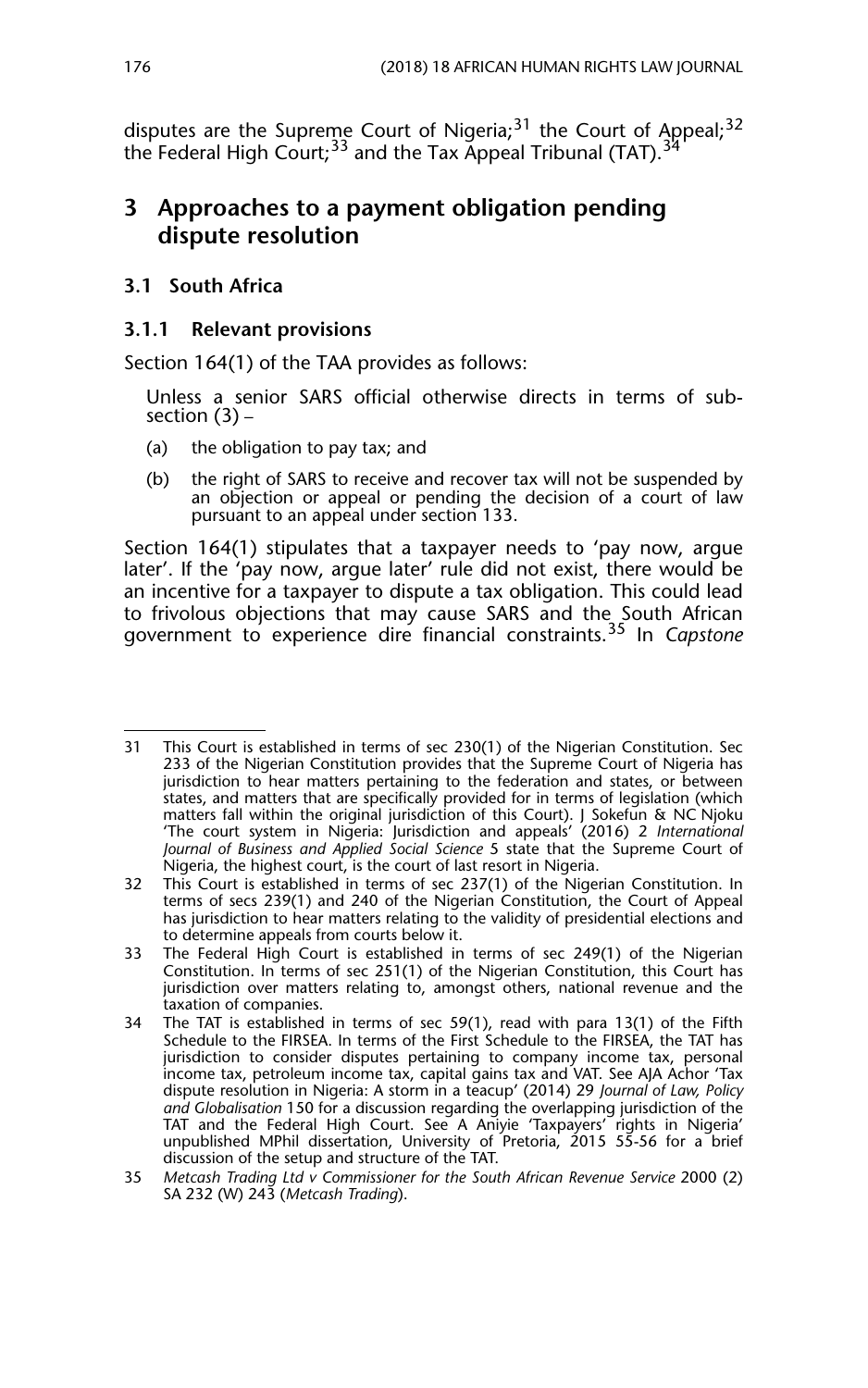disputes are the Supreme Court of Nigeria; $31$  the Court of Appeal; $32$ the Federal High Court;  $33$  and the Tax Appeal Tribunal (TAT).  $3\frac{1}{2}$ 

## **3 Approaches to a payment obligation pending dispute resolution**

## **3.1 South Africa**

## **3.1.1 Relevant provisions**

Section 164(1) of the TAA provides as follows:

Unless a senior SARS official otherwise directs in terms of subsection (3) –

- (a) the obligation to pay tax; and
- (b) the right of SARS to receive and recover tax will not be suspended by an objection or appeal or pending the decision of a court of law pursuant to an appeal under section 133.

Section 164(1) stipulates that a taxpayer needs to 'pay now, argue later'. If the 'pay now, argue later' rule did not exist, there would be an incentive for a taxpayer to dispute a tax obligation. This could lead to frivolous objections that may cause SARS and the South African government to experience dire financial constraints.35 In *Capstone*

<sup>31</sup> This Court is established in terms of sec 230(1) of the Nigerian Constitution. Sec 233 of the Nigerian Constitution provides that the Supreme Court of Nigeria has jurisdiction to hear matters pertaining to the federation and states, or between states, and matters that are specifically provided for in terms of legislation (which matters fall within the original jurisdiction of this Court). J Sokefun & NC Njoku 'The court system in Nigeria: Jurisdiction and appeals' (2016) 2 *International Journal of Business and Applied Social Science* 5 state that the Supreme Court of Nigeria, the highest court, is the court of last resort in Nigeria.

<sup>32</sup> This Court is established in terms of sec 237(1) of the Nigerian Constitution. In terms of secs 239(1) and 240 of the Nigerian Constitution, the Court of Appeal has jurisdiction to hear matters relating to the validity of presidential elections and to determine appeals from courts below it.

<sup>33</sup> The Federal High Court is established in terms of sec 249(1) of the Nigerian Constitution. In terms of sec 251(1) of the Nigerian Constitution, this Court has jurisdiction over matters relating to, amongst others, national revenue and the taxation of companies.

<sup>34</sup> The TAT is established in terms of sec 59(1), read with para 13(1) of the Fifth Schedule to the FIRSEA. In terms of the First Schedule to the FIRSEA, the TAT has jurisdiction to consider disputes pertaining to company income tax, personal income tax, petroleum income tax, capital gains tax and VAT. See AJA Achor 'Tax dispute resolution in Nigeria: A storm in a teacup' (2014) 29 *Journal of Law, Policy and Globalisation* 150 for a discussion regarding the overlapping jurisdiction of the TAT and the Federal High Court. See A Aniyie 'Taxpayers' rights in Nigeria' unpublished MPhil dissertation, University of Pretoria, 2015 55-56 for a brief discussion of the setup and structure of the TAT.

<sup>35</sup> *Metcash Trading Ltd v Commissioner for the South African Revenue Service* 2000 (2) SA 232 (W) 243 (*Metcash Trading*).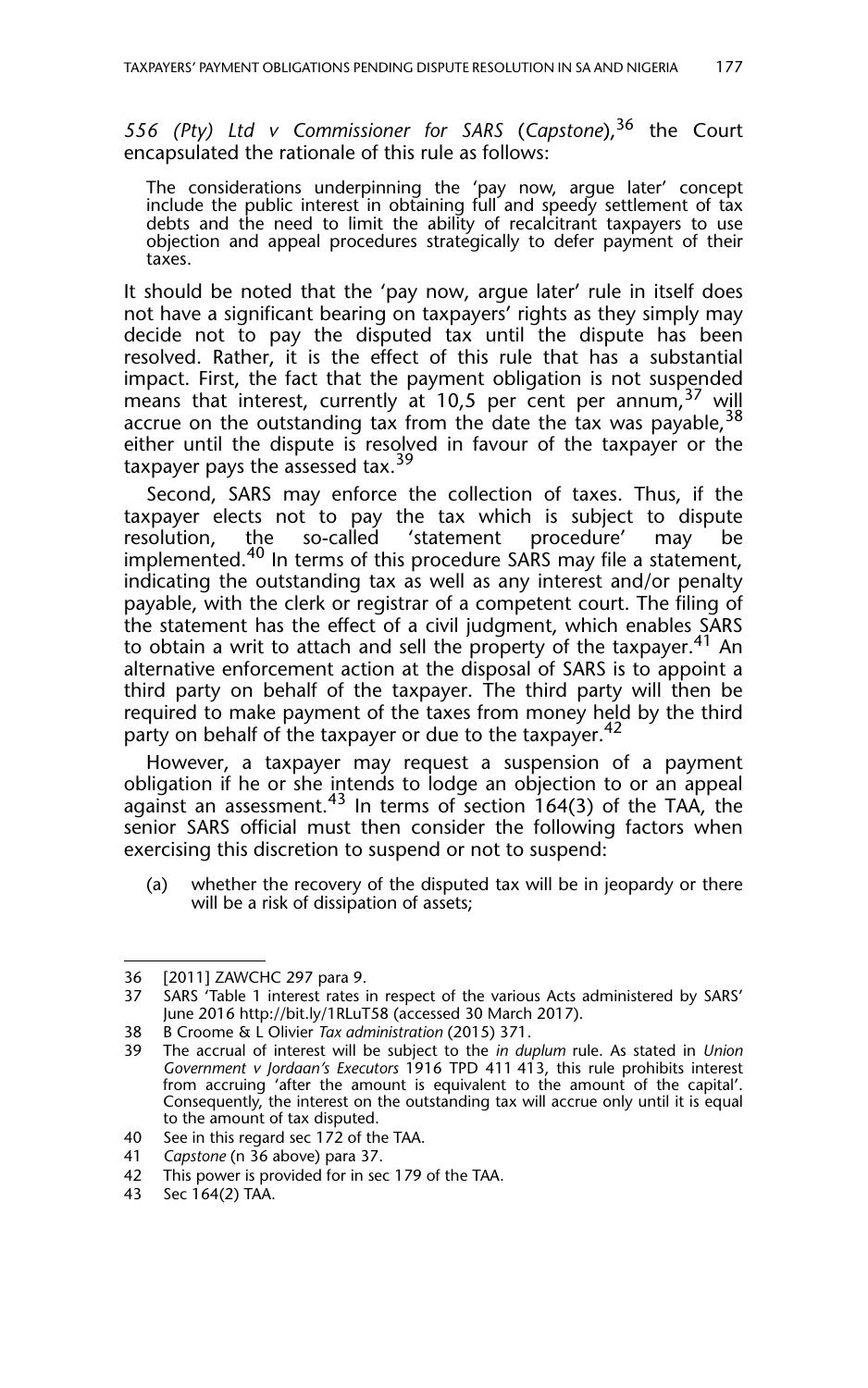*556 (Pty) Ltd v Commissioner for SARS* (*Capstone*),36 the Court encapsulated the rationale of this rule as follows:

The considerations underpinning the 'pay now, argue later' concept include the public interest in obtaining full and speedy settlement of tax debts and the need to limit the ability of recalcitrant taxpayers to use objection and appeal procedures strategically to defer payment of their taxes.

It should be noted that the 'pay now, argue later' rule in itself does not have a significant bearing on taxpayers' rights as they simply may decide not to pay the disputed tax until the dispute has been resolved. Rather, it is the effect of this rule that has a substantial impact. First, the fact that the payment obligation is not suspended means that interest, currently at 10,5 per cent per annum,  $37$  will accrue on the outstanding tax from the date the tax was payable,  $38$ either until the dispute is resolved in favour of the taxpayer or the taxpayer pays the assessed tax.<sup>39</sup>

Second, SARS may enforce the collection of taxes. Thus, if the taxpayer elects not to pay the tax which is subject to dispute resolution, the so-called 'statement procedure' may be resolution, the so-called 'statement procedure' may be implemented.<sup>40</sup> In terms of this procedure SARS may file a statement, indicating the outstanding tax as well as any interest and/or penalty payable, with the clerk or registrar of a competent court. The filing of the statement has the effect of a civil judgment, which enables SARS to obtain a writ to attach and sell the property of the taxpayer.<sup>41</sup> An alternative enforcement action at the disposal of SARS is to appoint a third party on behalf of the taxpayer. The third party will then be required to make payment of the taxes from money held by the third party on behalf of the taxpayer or due to the taxpayer.<sup>42</sup>

However, a taxpayer may request a suspension of a payment obligation if he or she intends to lodge an objection to or an appeal against an assessment.<sup>43</sup> In terms of section  $164(3)$  of the TAA, the senior SARS official must then consider the following factors when exercising this discretion to suspend or not to suspend:

(a) whether the recovery of the disputed tax will be in jeopardy or there will be a risk of dissipation of assets;

<sup>36 [2011]</sup> ZAWCHC 297 para 9.

<sup>37</sup> SARS 'Table 1 interest rates in respect of the various Acts administered by SARS' June 2016 http://bit.ly/1RLuT58 (accessed 30 March 2017).

<sup>38</sup> B Croome & L Olivier *Tax administration* (2015) 371.

<sup>39</sup> The accrual of interest will be subject to the *in duplum* rule. As stated in *Union Government v Jordaan's Executors* 1916 TPD 411 413, this rule prohibits interest from accruing 'after the amount is equivalent to the amount of the capital'. Consequently, the interest on the outstanding tax will accrue only until it is equal to the amount of tax disputed.

<sup>40</sup> See in this regard sec 172 of the TAA.

<sup>41</sup> *Capstone* (n 36 above) para 37.

<sup>42</sup> This power is provided for in sec 179 of the TAA.

<sup>43</sup> Sec 164(2) TAA.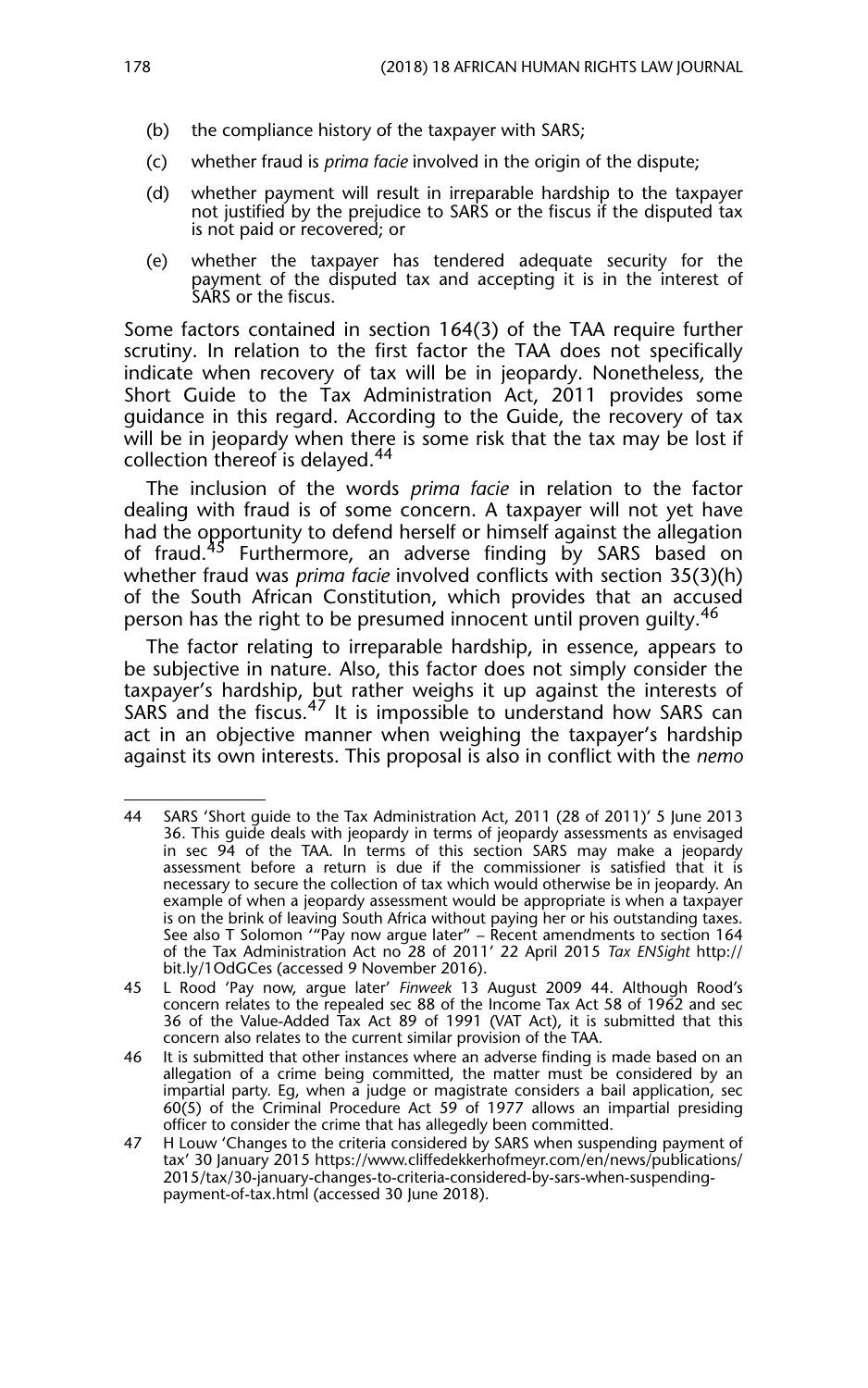- (b) the compliance history of the taxpayer with SARS;
- (c) whether fraud is *prima facie* involved in the origin of the dispute;
- (d) whether payment will result in irreparable hardship to the taxpayer not justified by the prejudice to SARS or the fiscus if the disputed tax is not paid or recovered; or
- (e) whether the taxpayer has tendered adequate security for the payment of the disputed tax and accepting it is in the interest of SARS or the fiscus.

Some factors contained in section 164(3) of the TAA require further scrutiny. In relation to the first factor the TAA does not specifically indicate when recovery of tax will be in jeopardy. Nonetheless, the Short Guide to the Tax Administration Act, 2011 provides some guidance in this regard. According to the Guide, the recovery of tax will be in jeopardy when there is some risk that the tax may be lost if collection thereof is delayed.<sup>44</sup>

The inclusion of the words *prima facie* in relation to the factor dealing with fraud is of some concern. A taxpayer will not yet have had the opportunity to defend herself or himself against the allegation of fraud.<sup>45</sup> Furthermore, an adverse finding by SARS based on whether fraud was *prima facie* involved conflicts with section 35(3)(h) of the South African Constitution, which provides that an accused person has the right to be presumed innocent until proven quilty.<sup>46</sup>

The factor relating to irreparable hardship, in essence, appears to be subjective in nature. Also, this factor does not simply consider the taxpayer's hardship, but rather weighs it up against the interests of SARS and the fiscus.<sup>47</sup> It is impossible to understand how SARS can act in an objective manner when weighing the taxpayer's hardship against its own interests. This proposal is also in conflict with the *nemo*

<sup>44</sup> SARS 'Short guide to the Tax Administration Act, 2011 (28 of 2011)' 5 June 2013 36. This guide deals with jeopardy in terms of jeopardy assessments as envisaged in sec 94 of the TAA. In terms of this section SARS may make a jeopardy assessment before a return is due if the commissioner is satisfied that it is necessary to secure the collection of tax which would otherwise be in jeopardy. An example of when a jeopardy assessment would be appropriate is when a taxpayer is on the brink of leaving South Africa without paying her or his outstanding taxes. See also T Solomon '"Pay now argue later" – Recent amendments to section 164 of the Tax Administration Act no 28 of 2011' 22 April 2015 *Tax ENSight* http:// bit.ly/1OdGCes (accessed 9 November 2016).

<sup>45</sup> L Rood 'Pay now, argue later' *Finweek* 13 August 2009 44. Although Rood's concern relates to the repealed sec 88 of the Income Tax Act 58 of 1962 and sec 36 of the Value-Added Tax Act 89 of 1991 (VAT Act), it is submitted that this concern also relates to the current similar provision of the TAA.

<sup>46</sup> It is submitted that other instances where an adverse finding is made based on an allegation of a crime being committed, the matter must be considered by an impartial party. Eg, when a judge or magistrate considers a bail application, sec 60(5) of the Criminal Procedure Act 59 of 1977 allows an impartial presiding officer to consider the crime that has allegedly been committed.

<sup>47</sup> H Louw 'Changes to the criteria considered by SARS when suspending payment of tax' 30 January 2015 https://www.cliffedekkerhofmeyr.com/en/news/publications/ 2015/tax/30-january-changes-to-criteria-considered-by-sars-when-suspendingpayment-of-tax.html (accessed 30 June 2018).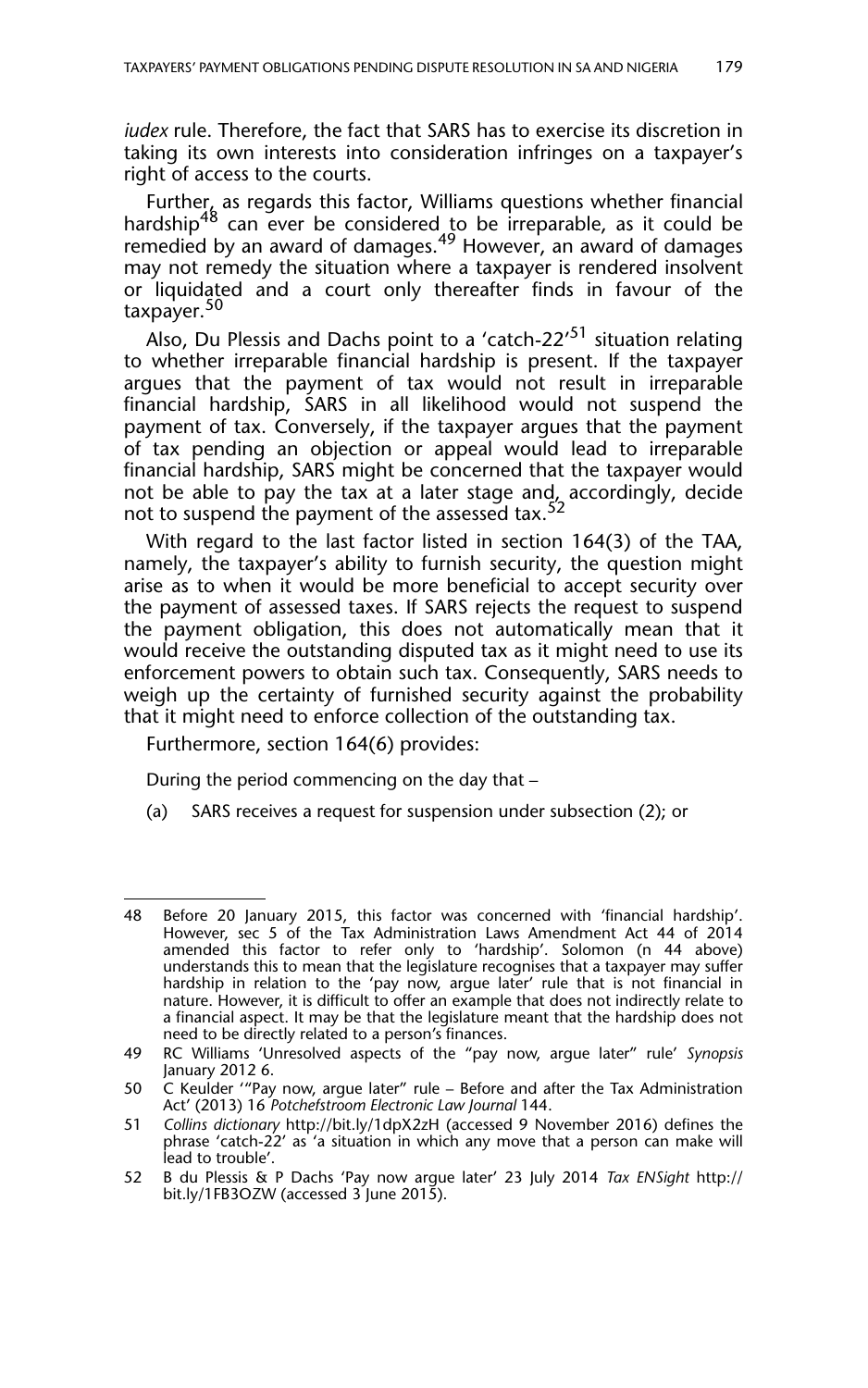*iudex* rule. Therefore, the fact that SARS has to exercise its discretion in taking its own interests into consideration infringes on a taxpayer's right of access to the courts.

Further, as regards this factor, Williams questions whether financial hardship<sup>48</sup> can ever be considered to be irreparable, as it could be remedied by an award of damages.<sup>49</sup> However, an award of damages may not remedy the situation where a taxpayer is rendered insolvent or liquidated and a court only thereafter finds in favour of the taxpayer.<sup>50</sup>

Also, Du Plessis and Dachs point to a 'catch-22'<sup>51</sup> situation relating to whether irreparable financial hardship is present. If the taxpayer argues that the payment of tax would not result in irreparable financial hardship, SARS in all likelihood would not suspend the payment of tax. Conversely, if the taxpayer argues that the payment of tax pending an objection or appeal would lead to irreparable financial hardship, SARS might be concerned that the taxpayer would not be able to pay the tax at a later stage and, accordingly, decide not to suspend the payment of the assessed tax.<sup>52</sup>

With regard to the last factor listed in section 164(3) of the TAA, namely, the taxpayer's ability to furnish security, the question might arise as to when it would be more beneficial to accept security over the payment of assessed taxes. If SARS rejects the request to suspend the payment obligation, this does not automatically mean that it would receive the outstanding disputed tax as it might need to use its enforcement powers to obtain such tax. Consequently, SARS needs to weigh up the certainty of furnished security against the probability that it might need to enforce collection of the outstanding tax.

Furthermore, section 164(6) provides:

During the period commencing on the day that –

(a) SARS receives a request for suspension under subsection (2); or

<sup>48</sup> Before 20 January 2015, this factor was concerned with 'financial hardship'. However, sec 5 of the Tax Administration Laws Amendment Act 44 of 2014 amended this factor to refer only to 'hardship'. Solomon (n 44 above) understands this to mean that the legislature recognises that a taxpayer may suffer hardship in relation to the 'pay now, argue later' rule that is not financial in nature. However, it is difficult to offer an example that does not indirectly relate to a financial aspect. It may be that the legislature meant that the hardship does not need to be directly related to a person's finances.

<sup>49</sup> RC Williams 'Unresolved aspects of the "pay now, argue later" rule' *Synopsis* January 2012 6.

<sup>50</sup> C Keulder '"Pay now, argue later" rule – Before and after the Tax Administration Act' (2013) 16 *Potchefstroom Electronic Law Journal* 144.

<sup>51</sup> *Collins dictionary* http://bit.ly/1dpX2zH (accessed 9 November 2016) defines the phrase 'catch-22' as 'a situation in which any move that a person can make will lead to trouble'.

<sup>52</sup> B du Plessis & P Dachs 'Pay now argue later' 23 July 2014 *Tax ENSight* http:// bit.ly/1FB3OZW (accessed 3 June 2015).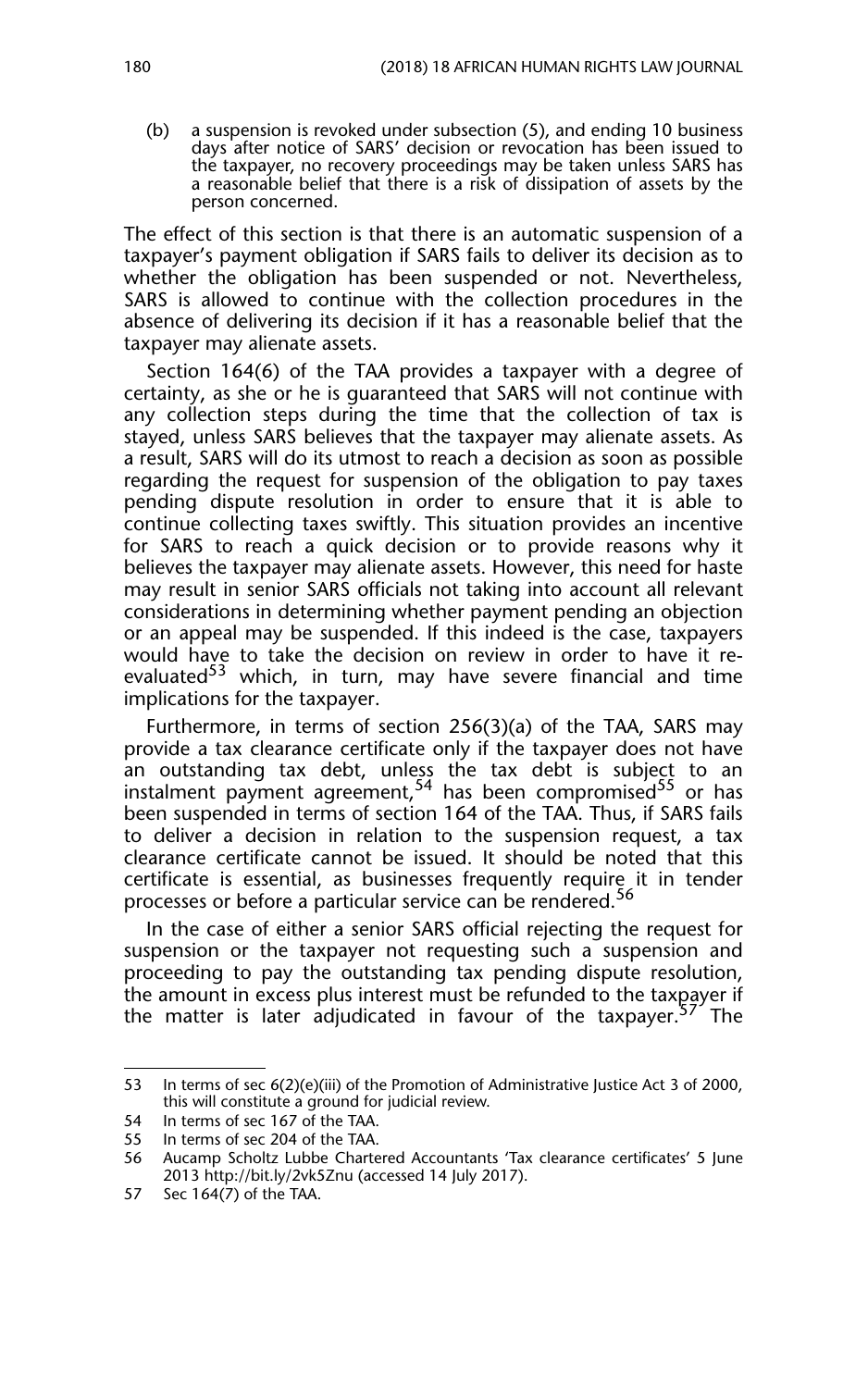(b) a suspension is revoked under subsection (5), and ending 10 business days after notice of SARS' decision or revocation has been issued to the taxpayer, no recovery proceedings may be taken unless SARS has a reasonable belief that there is a risk of dissipation of assets by the person concerned.

The effect of this section is that there is an automatic suspension of a taxpayer's payment obligation if SARS fails to deliver its decision as to whether the obligation has been suspended or not. Nevertheless, SARS is allowed to continue with the collection procedures in the absence of delivering its decision if it has a reasonable belief that the taxpayer may alienate assets.

Section 164(6) of the TAA provides a taxpayer with a degree of certainty, as she or he is guaranteed that SARS will not continue with any collection steps during the time that the collection of tax is stayed, unless SARS believes that the taxpayer may alienate assets. As a result, SARS will do its utmost to reach a decision as soon as possible regarding the request for suspension of the obligation to pay taxes pending dispute resolution in order to ensure that it is able to continue collecting taxes swiftly. This situation provides an incentive for SARS to reach a quick decision or to provide reasons why it believes the taxpayer may alienate assets. However, this need for haste may result in senior SARS officials not taking into account all relevant considerations in determining whether payment pending an objection or an appeal may be suspended. If this indeed is the case, taxpayers would have to take the decision on review in order to have it reevaluated<sup>53</sup> which, in turn, may have severe financial and time implications for the taxpayer.

Furthermore, in terms of section 256(3)(a) of the TAA, SARS may provide a tax clearance certificate only if the taxpayer does not have an outstanding tax debt, unless the tax debt is subject to an instalment payment agreement,<sup>54</sup> has been compromised<sup>55</sup> or has been suspended in terms of section 164 of the TAA. Thus, if SARS fails to deliver a decision in relation to the suspension request, a tax clearance certificate cannot be issued. It should be noted that this certificate is essential, as businesses frequently require it in tender processes or before a particular service can be rendered.<sup>56</sup>

In the case of either a senior SARS official rejecting the request for suspension or the taxpayer not requesting such a suspension and proceeding to pay the outstanding tax pending dispute resolution, the amount in excess plus interest must be refunded to the taxpayer if the matter is later adjudicated in favour of the taxpayer.<sup>57</sup> The

<sup>53</sup> In terms of sec 6(2)(e)(iii) of the Promotion of Administrative Justice Act 3 of 2000, this will constitute a ground for judicial review.

<sup>54</sup> In terms of sec 167 of the TAA.

<sup>55</sup> In terms of sec 204 of the TAA.

<sup>56</sup> Aucamp Scholtz Lubbe Chartered Accountants 'Tax clearance certificates' 5 June 2013 http://bit.ly/2vk5Znu (accessed 14 July 2017).

<sup>57</sup> Sec 164(7) of the TAA.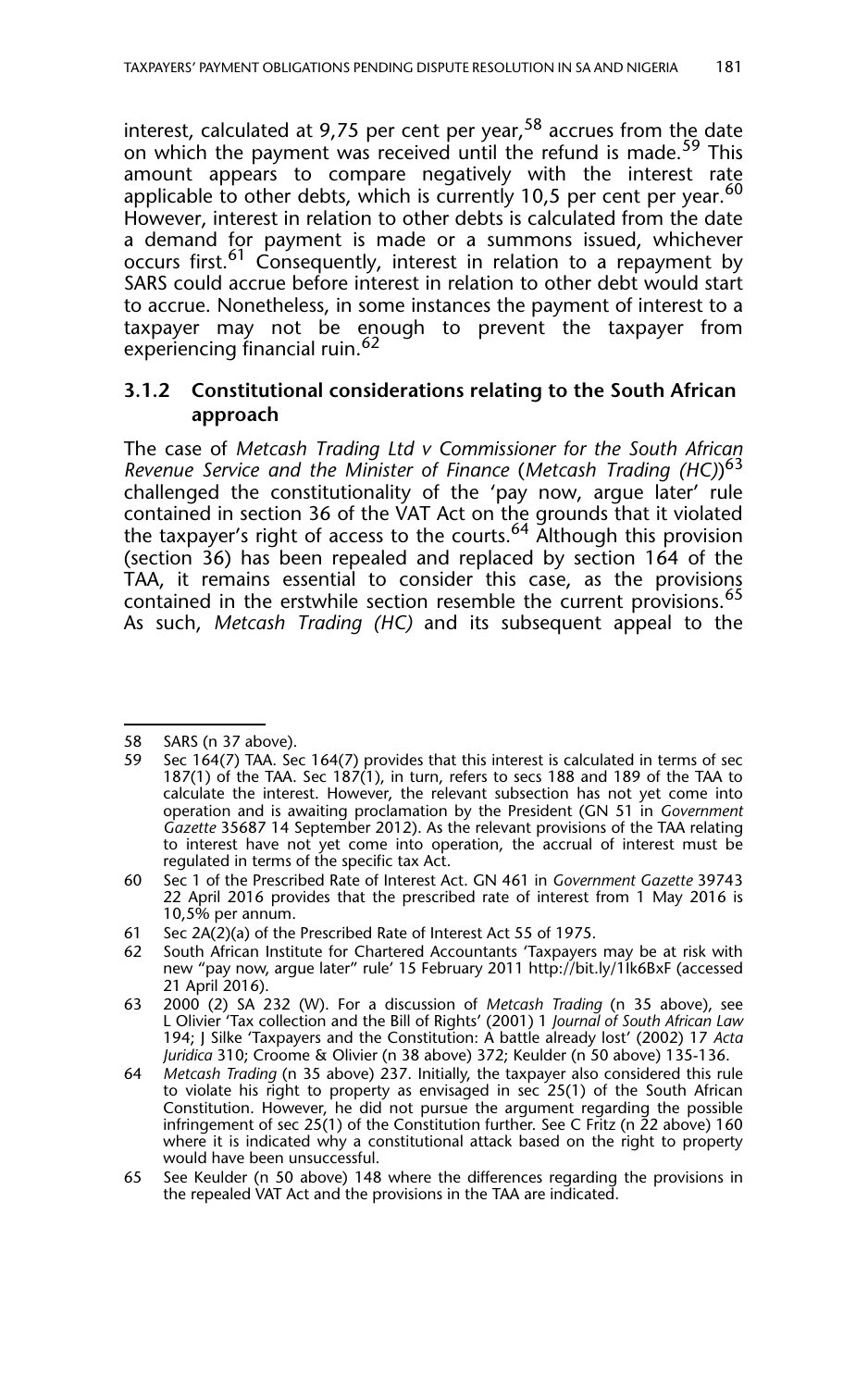interest, calculated at 9,75 per cent per year,  $58$  accrues from the date on which the payment was received until the refund is made.<sup>59</sup> This amount appears to compare negatively with the interest rate applicable to other debts, which is currently 10,5 per cent per year.  $60$ However, interest in relation to other debts is calculated from the date a demand for payment is made or a summons issued, whichever occurs first.<sup>61</sup> Consequently, interest in relation to a repayment by SARS could accrue before interest in relation to other debt would start to accrue. Nonetheless, in some instances the payment of interest to a taxpayer may not be enough to prevent the taxpayer from experiencing financial ruin.<sup>62</sup>

#### **3.1.2 Constitutional considerations relating to the South African approach**

The case of *Metcash Trading Ltd v Commissioner for the South African Revenue Service and the Minister of Finance* (*Metcash Trading (HC)*) 63 challenged the constitutionality of the 'pay now, argue later' rule contained in section 36 of the VAT Act on the grounds that it violated the taxpayer's right of access to the courts.<sup>64</sup> Although this provision (section 36) has been repealed and replaced by section 164 of the TAA, it remains essential to consider this case, as the provisions contained in the erstwhile section resemble the current provisions.<sup>65</sup> As such, *Metcash Trading (HC)* and its subsequent appeal to the

<sup>58</sup> SARS (n 37 above).<br>59 Sec 164(7) TAA. Se

Sec 164(7) TAA. Sec 164(7) provides that this interest is calculated in terms of sec 187(1) of the TAA. Sec 187(1), in turn, refers to secs 188 and 189 of the TAA to calculate the interest. However, the relevant subsection has not yet come into operation and is awaiting proclamation by the President (GN 51 in *Government Gazette* 35687 14 September 2012). As the relevant provisions of the TAA relating to interest have not yet come into operation, the accrual of interest must be regulated in terms of the specific tax Act.

<sup>60</sup> Sec 1 of the Prescribed Rate of Interest Act. GN 461 in *Government Gazette* 39743 22 April 2016 provides that the prescribed rate of interest from 1 May 2016 is 10,5% per annum.

<sup>61</sup> Sec 2A(2)(a) of the Prescribed Rate of Interest Act 55 of 1975.

<sup>62</sup> South African Institute for Chartered Accountants 'Taxpayers may be at risk with new "pay now, argue later" rule' 15 February 2011 http://bit.ly/1Ik6BxF (accessed 21 April 2016).

<sup>63 2000 (2)</sup> SA 232 (W). For a discussion of *Metcash Trading* (n 35 above), see L Olivier 'Tax collection and the Bill of Rights' (2001) 1 *Journal of South African Law* 194; J Silke 'Taxpayers and the Constitution: A battle already lost' (2002) 17 *Acta Juridica* 310; Croome & Olivier (n 38 above) 372; Keulder (n 50 above) 135-136.

<sup>64</sup> *Metcash Trading* (n 35 above) 237. Initially, the taxpayer also considered this rule to violate his right to property as envisaged in sec 25(1) of the South African Constitution. However, he did not pursue the argument regarding the possible infringement of sec 25(1) of the Constitution further. See C Fritz (n  $\tilde{Z}$ 2 above) 160 where it is indicated why a constitutional attack based on the right to property would have been unsuccessful.

<sup>65</sup> See Keulder (n 50 above) 148 where the differences regarding the provisions in the repealed VAT Act and the provisions in the TAA are indicated.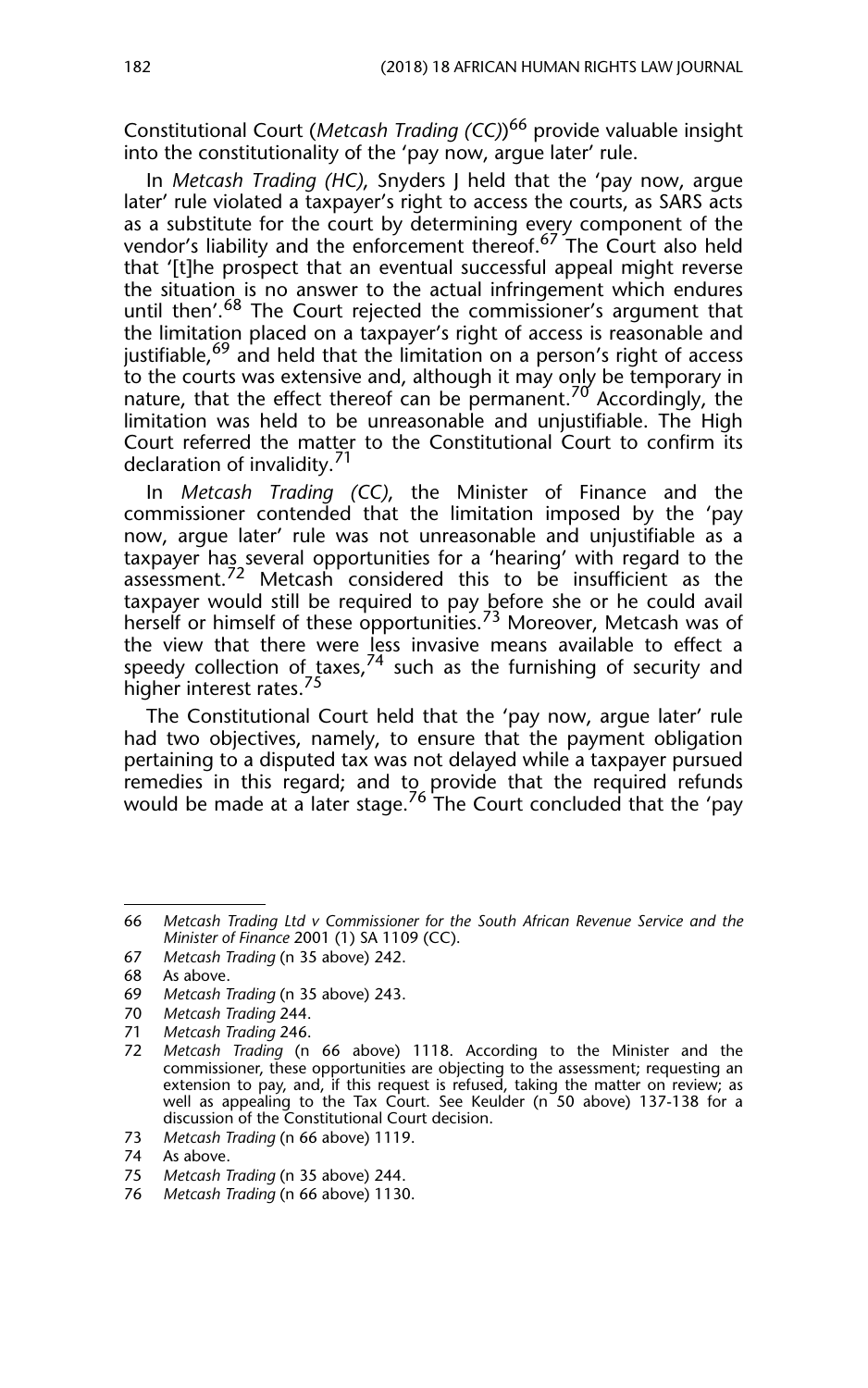Constitutional Court (*Metcash Trading (CC)*) 66 provide valuable insight into the constitutionality of the 'pay now, argue later' rule.

In *Metcash Trading (HC)*, Snyders J held that the 'pay now, argue later' rule violated a taxpayer's right to access the courts, as SARS acts as a substitute for the court by determining every component of the vendor's liability and the enforcement thereof.<sup>67</sup> The Court also held that '[t]he prospect that an eventual successful appeal might reverse the situation is no answer to the actual infringement which endures until then'.<sup>68</sup> The Court rejected the commissioner's argument that the limitation placed on a taxpayer's right of access is reasonable and justifiable,<sup>69</sup> and held that the limitation on a person's right of access to the courts was extensive and, although it may only be temporary in nature, that the effect thereof can be permanent.<sup>70</sup> Accordingly, the limitation was held to be unreasonable and unjustifiable. The High Court referred the matter to the Constitutional Court to confirm its declaration of invalidity. $\frac{71}{1}$ 

In *Metcash Trading (CC)*, the Minister of Finance and the commissioner contended that the limitation imposed by the 'pay now, argue later' rule was not unreasonable and unjustifiable as a taxpayer has several opportunities for a 'hearing' with regard to the  $\arccos$  ment.<sup>72</sup> Metcash considered this to be insufficient as the taxpayer would still be required to pay <u>b</u>efore she or he could avail herself or himself of these opportunities.<sup>73</sup> Moreover, Metcash was of the view that there were less invasive means available to effect a speedy collection of taxes,  $74$  such as the furnishing of security and higher interest rates.<sup>75</sup>

The Constitutional Court held that the 'pay now, argue later' rule had two objectives, namely, to ensure that the payment obligation pertaining to a disputed tax was not delayed while a taxpayer pursued remedies in this regard; and to provide that the required refunds would be made at a later stage.<sup>76</sup> The Court concluded that the 'pay

<sup>66</sup> *Metcash Trading Ltd v Commissioner for the South African Revenue Service and the Minister of Finance* 2001 (1) SA 1109 (CC).

<sup>67</sup> *Metcash Trading* (n 35 above) 242.

<sup>68</sup> As above.

<sup>69</sup> *Metcash Trading* (n 35 above) 243.

<sup>70</sup> *Metcash Trading* 244.

<sup>71</sup> *Metcash Trading* 246.

<sup>72</sup> *Metcash Trading* (n 66 above) 1118. According to the Minister and the commissioner, these opportunities are objecting to the assessment; requesting an extension to pay, and, if this request is refused, taking the matter on review; as well as appealing to the Tax Court. See Keulder (n 50 above) 137-138 for a discussion of the Constitutional Court decision.

<sup>73</sup> *Metcash Trading* (n 66 above) 1119.

<sup>74</sup> As above.

<sup>75</sup> *Metcash Trading* (n 35 above) 244.

<sup>76</sup> *Metcash Trading* (n 66 above) 1130.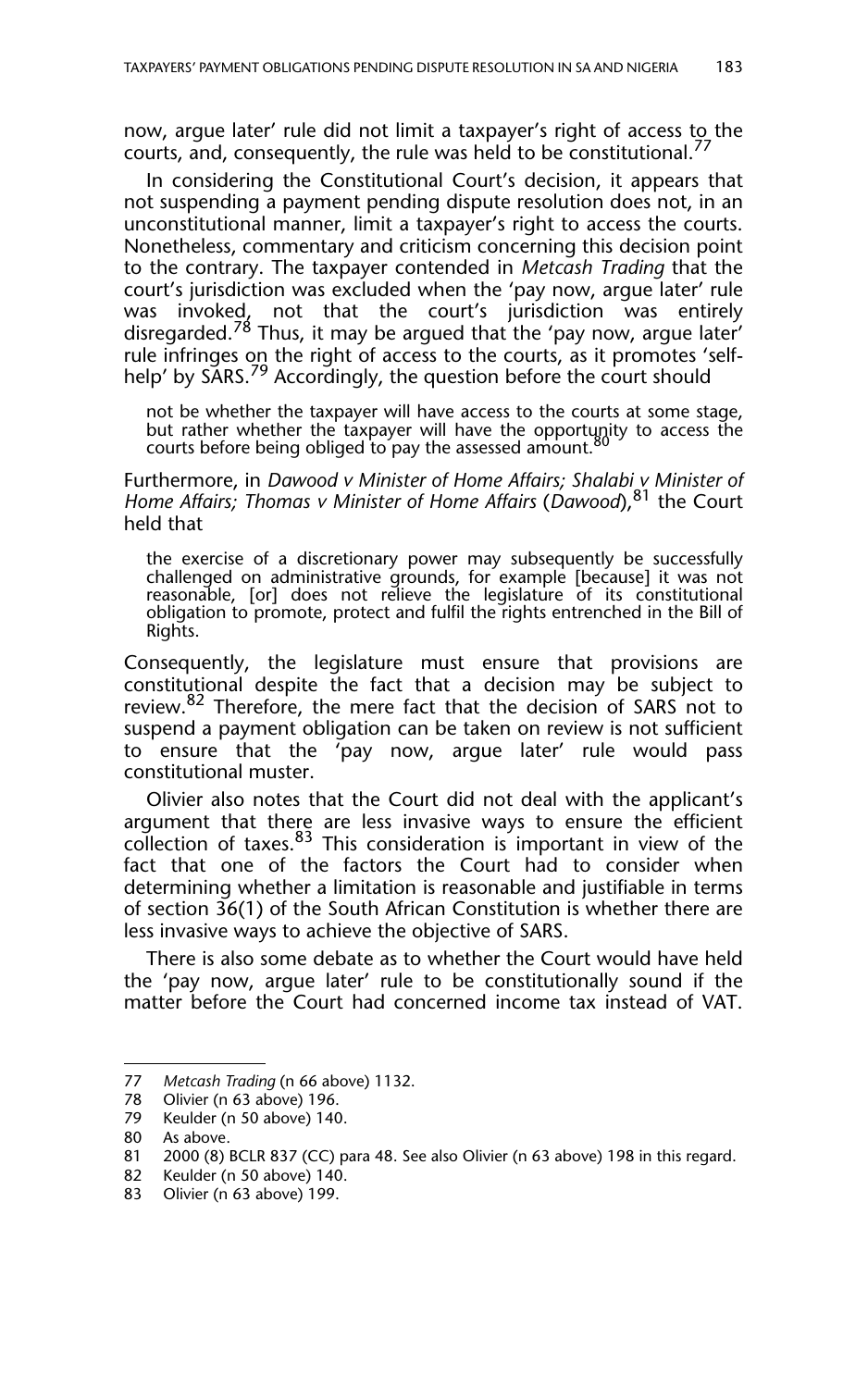now, argue later' rule did not limit a taxpayer's right of access to the courts, and, consequently, the rule was held to be constitutional.<sup>77</sup>

In considering the Constitutional Court's decision, it appears that not suspending a payment pending dispute resolution does not, in an unconstitutional manner, limit a taxpayer's right to access the courts. Nonetheless, commentary and criticism concerning this decision point to the contrary. The taxpayer contended in *Metcash Trading* that the court's jurisdiction was excluded when the 'pay now, argue later' rule was invoked, not that the court's jurisdiction was entirely disregarded.<sup>78</sup> Thus, it may be argued that the 'pay now, argue later' rule infringes on the right of access to the courts, as it promotes 'selfhelp' by SARS.<sup>79</sup> Accordingly, the question before the court should

not be whether the taxpayer will have access to the courts at some stage, but rather whether the taxpayer will have the opportunity to access the courts before being obliged to pay the assessed amount.

Furthermore, in *Dawood v Minister of Home Affairs; Shalabi v Minister of Home Affairs; Thomas v Minister of Home Affairs* (*Dawood*),81 the Court held that

the exercise of a discretionary power may subsequently be successfully challenged on administrative grounds, for example [because] it was not reasonable, [or] does not relieve the legislature of its constitutional obligation to promote, protect and fulfil the rights entrenched in the Bill of Rights.

Consequently, the legislature must ensure that provisions are constitutional despite the fact that a decision may be subject to review.<sup>82</sup> Therefore, the mere fact that the decision of SARS not to suspend a payment obligation can be taken on review is not sufficient to ensure that the 'pay now, argue later' rule would pass constitutional muster.

Olivier also notes that the Court did not deal with the applicant's argument that there are less invasive ways to ensure the efficient collection of taxes.<sup>83</sup> This consideration is important in view of the fact that one of the factors the Court had to consider when determining whether a limitation is reasonable and justifiable in terms of section 36(1) of the South African Constitution is whether there are less invasive ways to achieve the objective of SARS.

There is also some debate as to whether the Court would have held the 'pay now, argue later' rule to be constitutionally sound if the matter before the Court had concerned income tax instead of VAT.

<sup>77</sup> *Metcash Trading* (n 66 above) 1132.

Olivier (n 63 above) 196.

<sup>79</sup> Keulder (n 50 above) 140.

<sup>80</sup> As above.

<sup>81 2000 (8)</sup> BCLR 837 (CC) para 48. See also Olivier (n 63 above) 198 in this regard.

Keulder (n 50 above) 140.

<sup>83</sup> Olivier (n 63 above) 199.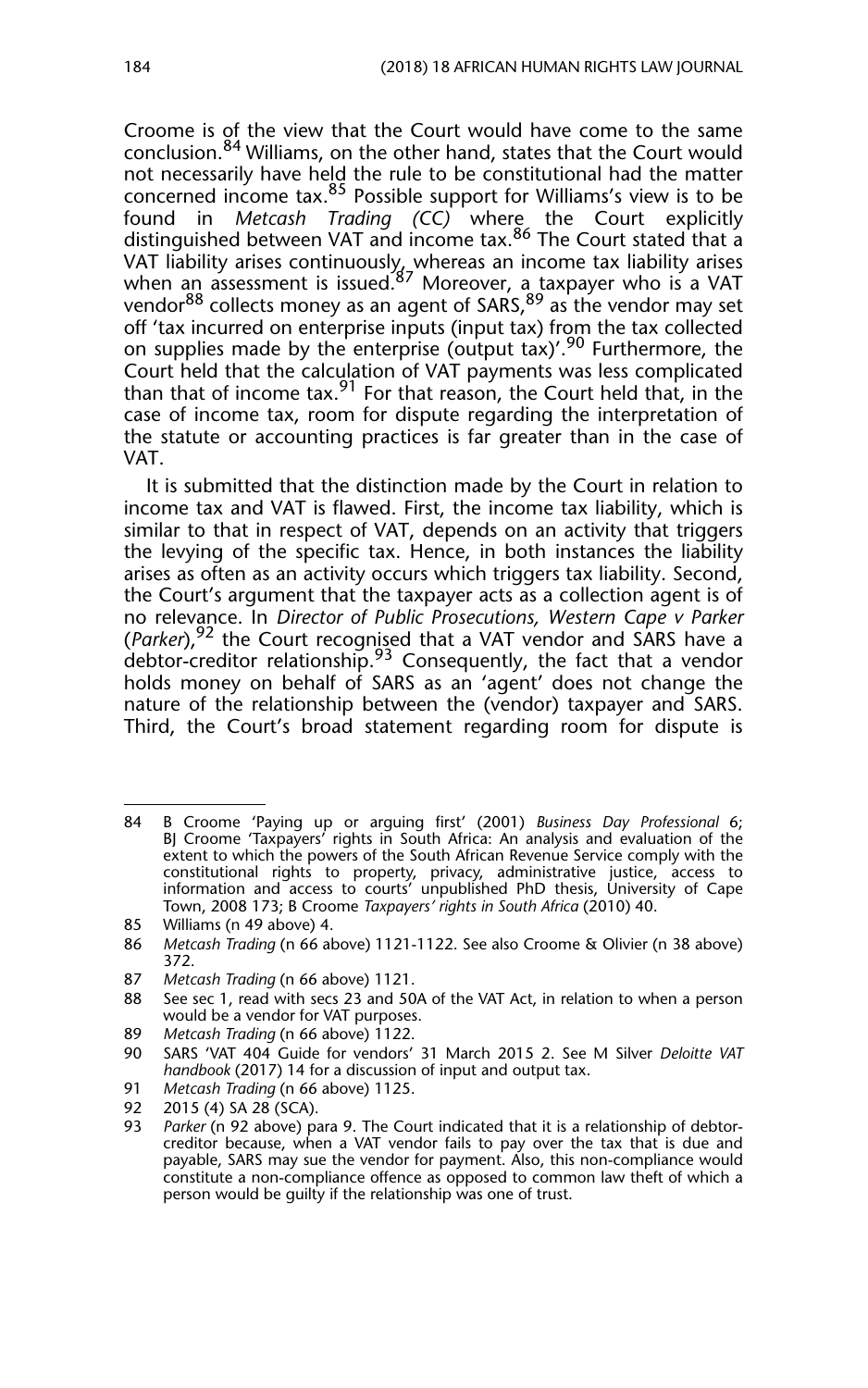Croome is of the view that the Court would have come to the same conclusion.<sup>84</sup> Williams, on the other hand, states that the Court would not necessarily have held the rule to be constitutional had the matter concerned income tax.85 Possible support for Williams's view is to be found in *Metcash Trading (CC)* where the Court explicitly distinguished between VAT and income tax.<sup>86</sup> The Court stated that a VAT liability arises continuously, whereas an income tax liability arises when an assessment is issued.<sup>87</sup> Moreover, a taxpayer who is a VAT vendor<sup>88</sup> collects money as an agent of SARS,<sup>89</sup> as the vendor may set off 'tax incurred on enterprise inputs (input tax) from the tax collected on supplies made by the enterprise (output tax)'.<sup>90</sup> Furthermore, the Court held that the calculation of VAT payments was less complicated than that of income tax.<sup>91</sup> For that reason, the Court held that, in the case of income tax, room for dispute regarding the interpretation of the statute or accounting practices is far greater than in the case of VAT.

It is submitted that the distinction made by the Court in relation to income tax and VAT is flawed. First, the income tax liability, which is similar to that in respect of VAT, depends on an activity that triggers the levying of the specific tax. Hence, in both instances the liability arises as often as an activity occurs which triggers tax liability. Second, the Court's argument that the taxpayer acts as a collection agent is of no relevance. In *Director of Public Prosecutions, Western Cape v Parker* (Parker),<sup>92</sup> the Court recognised that a VAT vendor and SARS have a debtor-creditor relationship.<sup>93</sup> Consequently, the fact that a vendor holds money on behalf of SARS as an 'agent' does not change the nature of the relationship between the (vendor) taxpayer and SARS. Third, the Court's broad statement regarding room for dispute is

89 *Metcash Trading* (n 66 above) 1122.

92 2015 (4) SA 28 (SCA).<br>93 *Parker* (n 92 above) pa

<sup>84</sup> B Croome 'Paying up or arguing first' (2001) *Business Day Professional* 6; BJ Croome 'Taxpayers' rights in South Africa: An analysis and evaluation of the extent to which the powers of the South African Revenue Service comply with the constitutional rights to property, privacy, administrative justice, access to information and access to courts' unpublished PhD thesis, University of Cape Town, 2008 173; B Croome *Taxpayers' rights in South Africa* (2010) 40.

<sup>85</sup> Williams (n 49 above) 4.

<sup>86</sup> *Metcash Trading* (n 66 above) 1121-1122. See also Croome & Olivier (n 38 above) 372.

<sup>87</sup> *Metcash Trading* (n 66 above) 1121.

<sup>88</sup> See sec 1, read with secs 23 and 50A of the VAT Act, in relation to when a person would be a vendor for VAT purposes.

<sup>90</sup> SARS 'VAT 404 Guide for vendors' 31 March 2015 2. See M Silver *Deloitte VAT handbook* (2017) 14 for a discussion of input and output tax.

<sup>91</sup> *Metcash Trading* (n 66 above) 1125.

Parker (n 92 above) para 9. The Court indicated that it is a relationship of debtorcreditor because, when a VAT vendor fails to pay over the tax that is due and payable, SARS may sue the vendor for payment. Also, this non-compliance would constitute a non-compliance offence as opposed to common law theft of which a person would be guilty if the relationship was one of trust.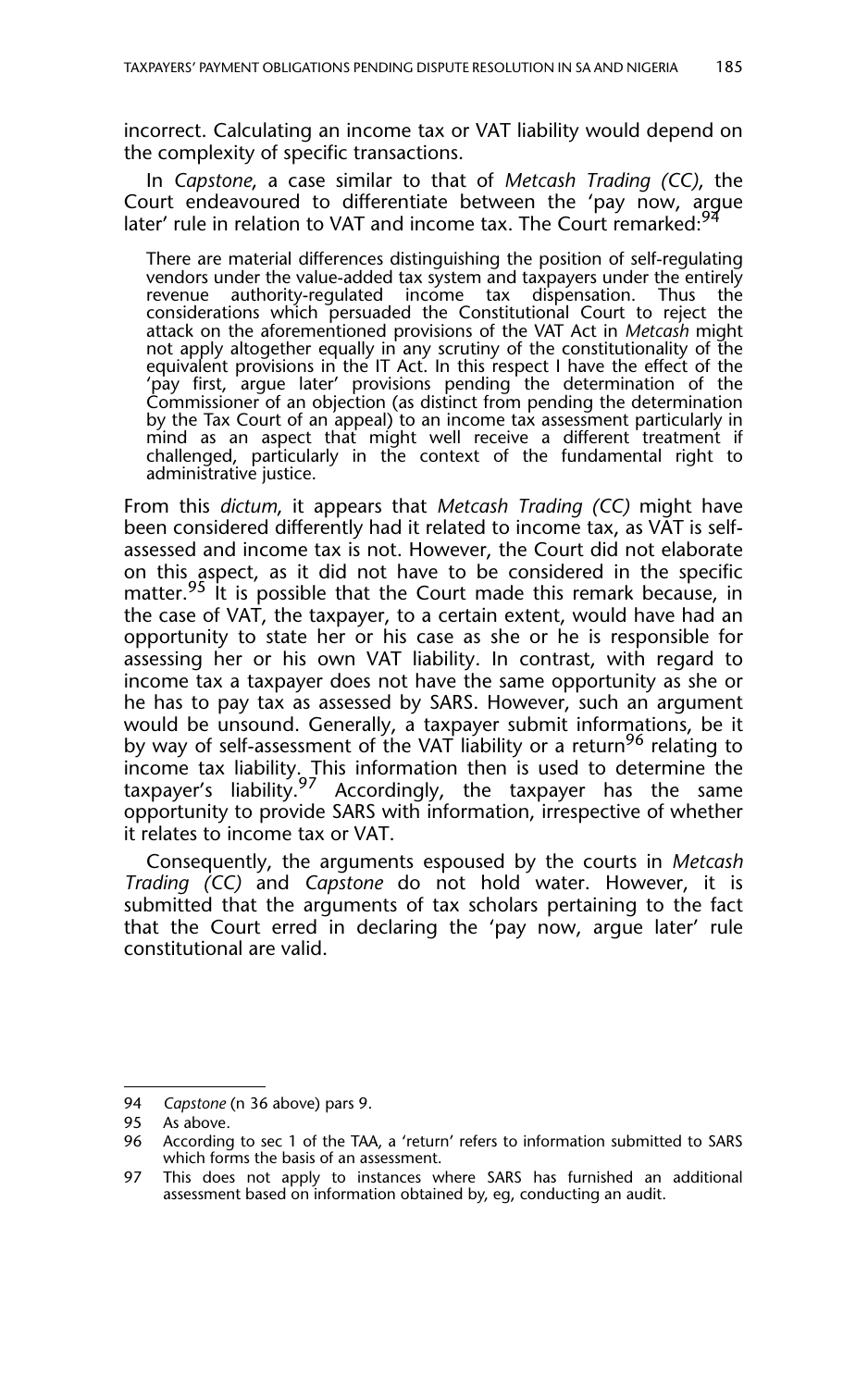incorrect. Calculating an income tax or VAT liability would depend on the complexity of specific transactions.

In *Capstone*, a case similar to that of *Metcash Trading (CC)*, the Court endeavoured to differentiate between the 'pay now, argue later' rule in relation to VAT and income tax. The Court remarked:<sup>94</sup>

There are material differences distinguishing the position of self-regulating vendors under the value-added tax system and taxpayers under the entirely revenue authority-regulated income tax dispensation. Thus the considerations which persuaded the Constitutional Court to reject the attack on the aforementioned provisions of the VAT Act in *Metcash* might not apply altogether equally in any scrutiny of the constitutionality of the equivalent provisions in the IT Act. In this respect I have the effect of the 'pay first, argue later' provisions pending the determination of the Commissioner of an objection (as distinct from pending the determination by the Tax Court of an appeal) to an income tax assessment particularly in mind as an aspect that might well receive a different treatment if challenged, particularly in the context of the fundamental right to administrative justice.

From this *dictum*, it appears that *Metcash Trading (CC)* might have been considered differently had it related to income tax, as VAT is selfassessed and income tax is not. However, the Court did not elaborate on this aspect, as it did not have to be considered in the specific matter.<sup>95</sup> It is possible that the Court made this remark because, in the case of VAT, the taxpayer, to a certain extent, would have had an opportunity to state her or his case as she or he is responsible for assessing her or his own VAT liability. In contrast, with regard to income tax a taxpayer does not have the same opportunity as she or he has to pay tax as assessed by SARS. However, such an argument would be unsound. Generally, a taxpayer submit informations, be it by way of self-assessment of the VAT liability or a return<sup>96</sup> relating to income tax liability. This information then is used to determine the taxpayer's liability.<sup>97</sup> Accordingly, the taxpayer has the same opportunity to provide SARS with information, irrespective of whether it relates to income tax or VAT.

Consequently, the arguments espoused by the courts in *Metcash Trading (CC)* and *Capstone* do not hold water. However, it is submitted that the arguments of tax scholars pertaining to the fact that the Court erred in declaring the 'pay now, argue later' rule constitutional are valid.

<sup>94</sup> *Capstone* (n 36 above) pars 9.

<sup>95</sup> As above.

<sup>96</sup> According to sec 1 of the TAA, a 'return' refers to information submitted to SARS which forms the basis of an assessment.

<sup>97</sup> This does not apply to instances where SARS has furnished an additional assessment based on information obtained by, eg, conducting an audit.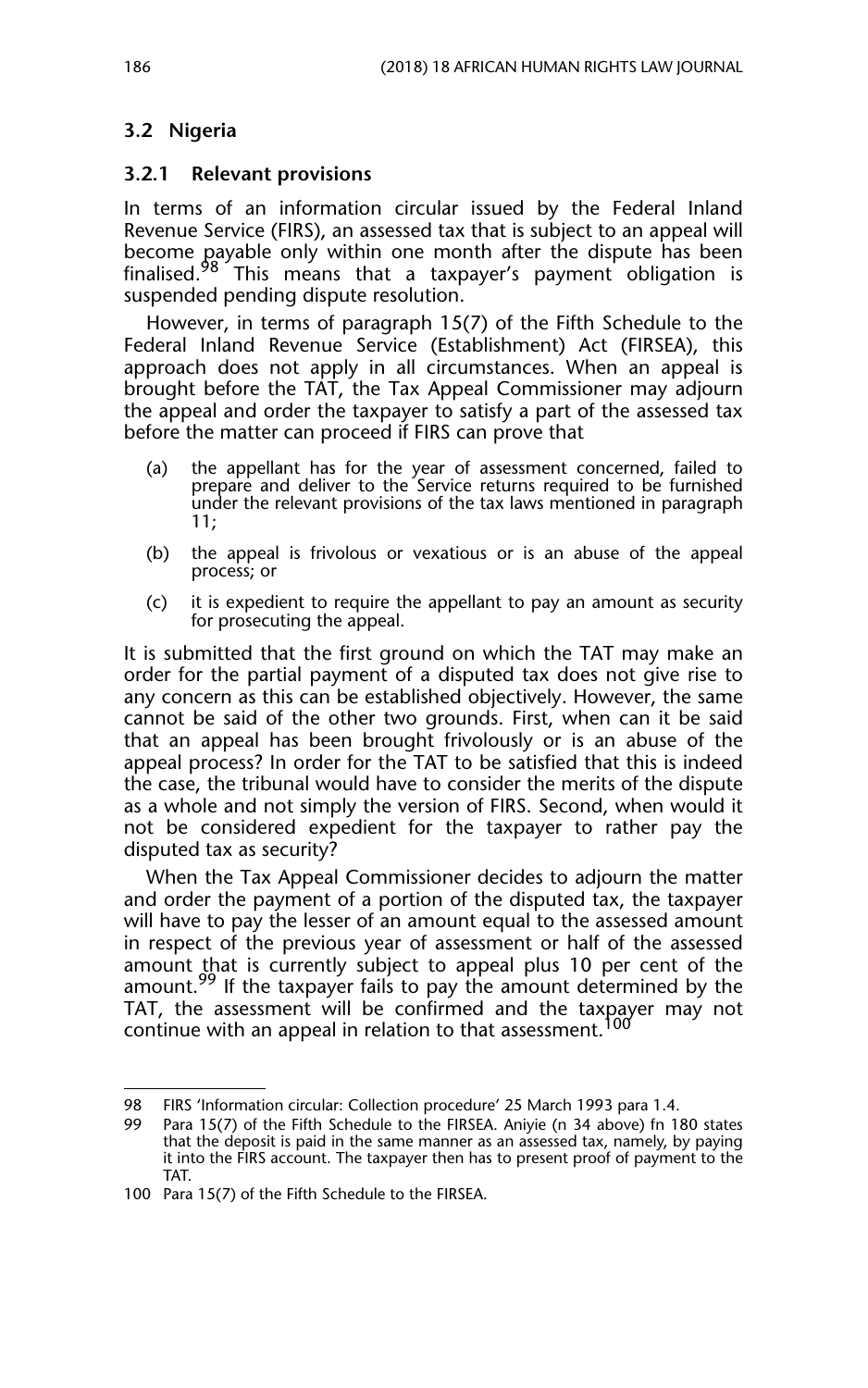## **3.2 Nigeria**

#### **3.2.1 Relevant provisions**

In terms of an information circular issued by the Federal Inland Revenue Service (FIRS), an assessed tax that is subject to an appeal will become payable only within one month after the dispute has been finalised.<sup>98</sup> This means that a taxpayer's payment obligation is suspended pending dispute resolution.

However, in terms of paragraph 15(7) of the Fifth Schedule to the Federal Inland Revenue Service (Establishment) Act (FIRSEA), this approach does not apply in all circumstances. When an appeal is brought before the TAT, the Tax Appeal Commissioner may adjourn the appeal and order the taxpayer to satisfy a part of the assessed tax before the matter can proceed if FIRS can prove that

- (a) the appellant has for the year of assessment concerned, failed to prepare and deliver to the Service returns required to be furnished under the relevant provisions of the tax laws mentioned in paragraph 11;
- (b) the appeal is frivolous or vexatious or is an abuse of the appeal process; or
- (c) it is expedient to require the appellant to pay an amount as security for prosecuting the appeal.

It is submitted that the first ground on which the TAT may make an order for the partial payment of a disputed tax does not give rise to any concern as this can be established objectively. However, the same cannot be said of the other two grounds. First, when can it be said that an appeal has been brought frivolously or is an abuse of the appeal process? In order for the TAT to be satisfied that this is indeed the case, the tribunal would have to consider the merits of the dispute as a whole and not simply the version of FIRS. Second, when would it not be considered expedient for the taxpayer to rather pay the disputed tax as security?

When the Tax Appeal Commissioner decides to adjourn the matter and order the payment of a portion of the disputed tax, the taxpayer will have to pay the lesser of an amount equal to the assessed amount in respect of the previous year of assessment or half of the assessed amount that is currently subject to appeal plus 10 per cent of the amount.<sup>99</sup> If the taxpayer fails to pay the amount determined by the TAT, the assessment will be confirmed and the taxpayer may not continue with an appeal in relation to that assessment.<sup>100</sup>

<sup>98</sup> FIRS 'Information circular: Collection procedure' 25 March 1993 para 1.4.

<sup>99</sup> Para 15(7) of the Fifth Schedule to the FIRSEA. Aniyie (n 34 above) fn 180 states that the deposit is paid in the same manner as an assessed tax, namely, by paying it into the FIRS account. The taxpayer then has to present proof of payment to the TAT.

<sup>100</sup> Para 15(7) of the Fifth Schedule to the FIRSEA.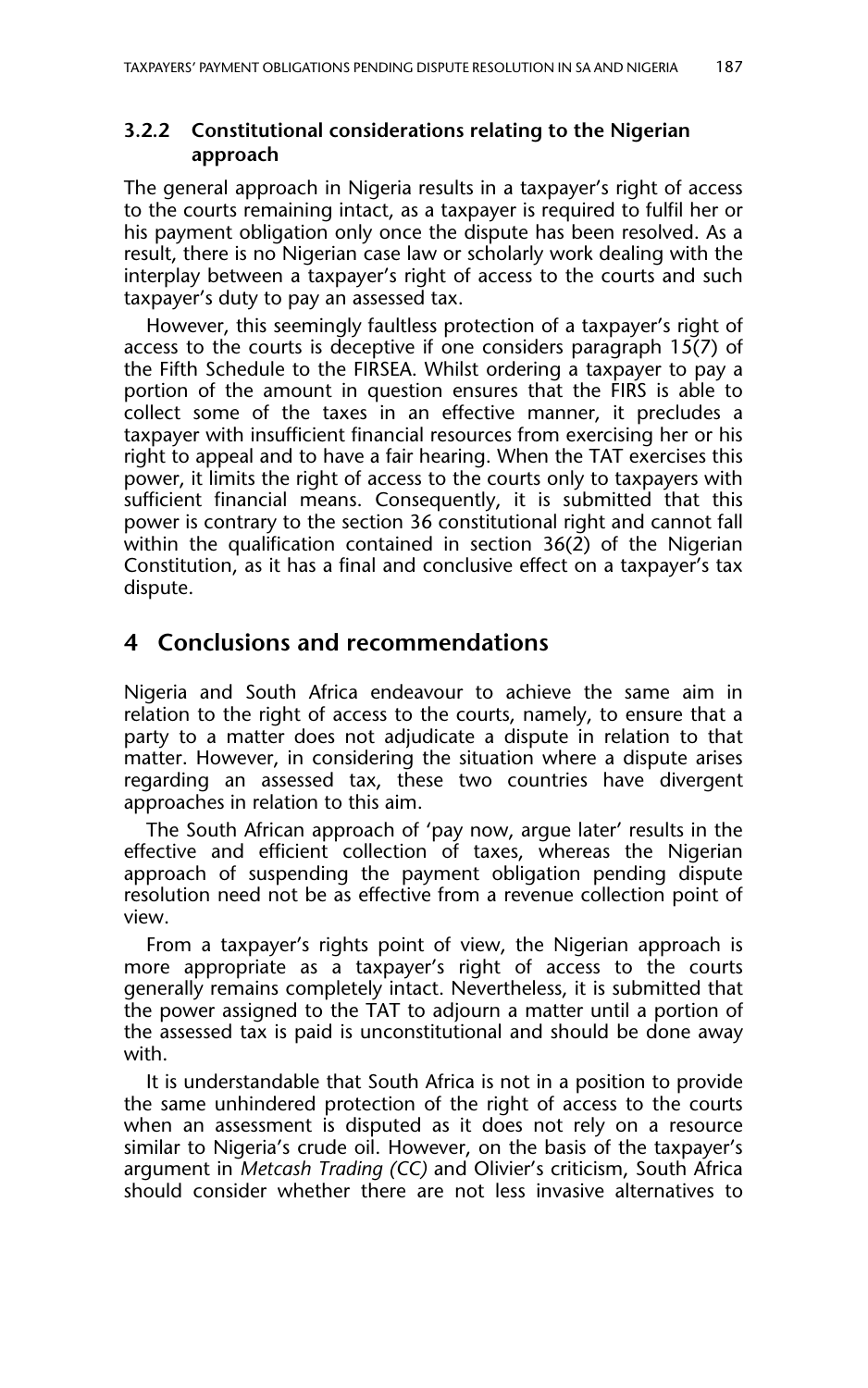## **3.2.2 Constitutional considerations relating to the Nigerian approach**

The general approach in Nigeria results in a taxpayer's right of access to the courts remaining intact, as a taxpayer is required to fulfil her or his payment obligation only once the dispute has been resolved. As a result, there is no Nigerian case law or scholarly work dealing with the interplay between a taxpayer's right of access to the courts and such taxpayer's duty to pay an assessed tax.

However, this seemingly faultless protection of a taxpayer's right of access to the courts is deceptive if one considers paragraph 15(7) of the Fifth Schedule to the FIRSEA. Whilst ordering a taxpayer to pay a portion of the amount in question ensures that the FIRS is able to collect some of the taxes in an effective manner, it precludes a taxpayer with insufficient financial resources from exercising her or his right to appeal and to have a fair hearing. When the TAT exercises this power, it limits the right of access to the courts only to taxpayers with sufficient financial means. Consequently, it is submitted that this power is contrary to the section 36 constitutional right and cannot fall within the qualification contained in section  $36(2)$  of the Nigerian Constitution, as it has a final and conclusive effect on a taxpayer's tax dispute.

## **4 Conclusions and recommendations**

Nigeria and South Africa endeavour to achieve the same aim in relation to the right of access to the courts, namely, to ensure that a party to a matter does not adjudicate a dispute in relation to that matter. However, in considering the situation where a dispute arises regarding an assessed tax, these two countries have divergent approaches in relation to this aim.

The South African approach of 'pay now, argue later' results in the effective and efficient collection of taxes, whereas the Nigerian approach of suspending the payment obligation pending dispute resolution need not be as effective from a revenue collection point of view.

From a taxpayer's rights point of view, the Nigerian approach is more appropriate as a taxpayer's right of access to the courts generally remains completely intact. Nevertheless, it is submitted that the power assigned to the TAT to adjourn a matter until a portion of the assessed tax is paid is unconstitutional and should be done away with.

It is understandable that South Africa is not in a position to provide the same unhindered protection of the right of access to the courts when an assessment is disputed as it does not rely on a resource similar to Nigeria's crude oil. However, on the basis of the taxpayer's argument in *Metcash Trading (CC)* and Olivier's criticism, South Africa should consider whether there are not less invasive alternatives to